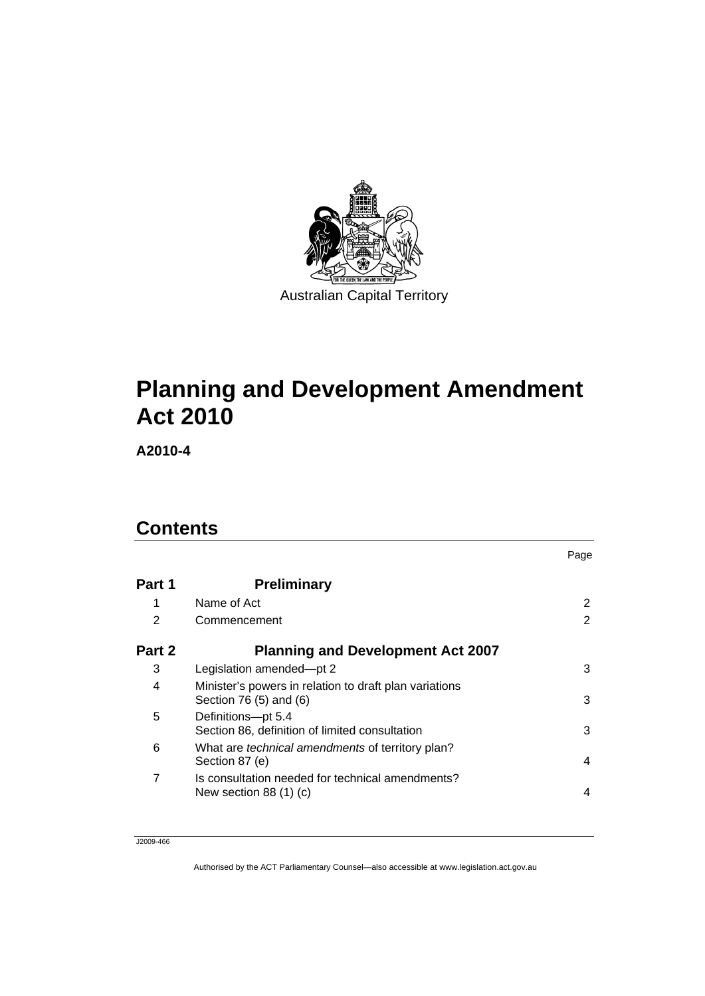

# **[Planning and Development Amendment](#page-6-0)  [Act 2010](#page-6-0)**

**A2010-4** 

## **Contents**

|        |                                                                                  | Page |
|--------|----------------------------------------------------------------------------------|------|
| Part 1 | <b>Preliminary</b>                                                               |      |
| 1      | Name of Act                                                                      | 2    |
| 2      | Commencement                                                                     | 2    |
| Part 2 | <b>Planning and Development Act 2007</b>                                         |      |
| 3      | Legislation amended-pt 2                                                         | 3    |
| 4      | Minister's powers in relation to draft plan variations<br>Section 76 (5) and (6) | 3    |
| 5      | Definitions-pt 5.4<br>Section 86, definition of limited consultation             | 3    |
| 6      | What are <i>technical amendments</i> of territory plan?<br>Section 87 (e)        | 4    |
| 7      | Is consultation needed for technical amendments?<br>New section 88 $(1)$ $(c)$   | 4    |

J2009-466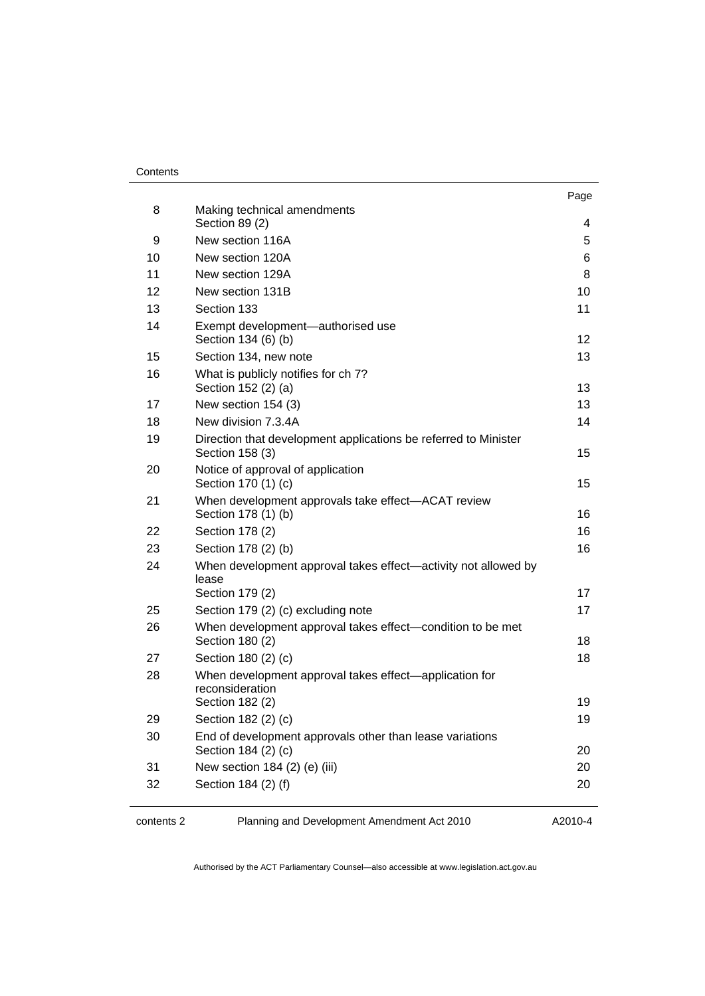#### **Contents**

|    |                                                                                    | Page |
|----|------------------------------------------------------------------------------------|------|
| 8  | Making technical amendments<br>Section 89 (2)                                      | 4    |
| 9  | New section 116A                                                                   | 5    |
| 10 | New section 120A                                                                   | 6    |
| 11 | New section 129A                                                                   | 8    |
| 12 | New section 131B                                                                   | 10   |
| 13 | Section 133                                                                        | 11   |
| 14 | Exempt development-authorised use<br>Section 134 (6) (b)                           | 12   |
| 15 | Section 134, new note                                                              | 13   |
| 16 | What is publicly notifies for ch 7?<br>Section 152 (2) (a)                         | 13   |
| 17 | New section 154 (3)                                                                | 13   |
| 18 | New division 7.3.4A                                                                | 14   |
| 19 | Direction that development applications be referred to Minister<br>Section 158 (3) | 15   |
| 20 | Notice of approval of application<br>Section 170 (1) (c)                           | 15   |
| 21 | When development approvals take effect-ACAT review<br>Section 178 (1) (b)          | 16   |
| 22 | Section 178 (2)                                                                    | 16   |
| 23 | Section 178 (2) (b)                                                                | 16   |
| 24 | When development approval takes effect—activity not allowed by<br>lease            |      |
|    | Section 179 (2)                                                                    | 17   |
| 25 | Section 179 (2) (c) excluding note                                                 | 17   |
| 26 | When development approval takes effect-condition to be met<br>Section 180 (2)      | 18   |
| 27 | Section 180 (2) (c)                                                                | 18   |
| 28 | When development approval takes effect—application for                             |      |
|    | reconsideration<br>Section 182 (2)                                                 | 19   |
| 29 | Section 182 (2) (c)                                                                | 19   |
| 30 | End of development approvals other than lease variations                           |      |
|    | Section 184 (2) (c)                                                                | 20   |
| 31 | New section 184 (2) (e) (iii)                                                      | 20   |
| 32 | Section 184 (2) (f)                                                                | 20   |
|    |                                                                                    |      |

contents 2 Planning and Development Amendment Act 2010

A2010-4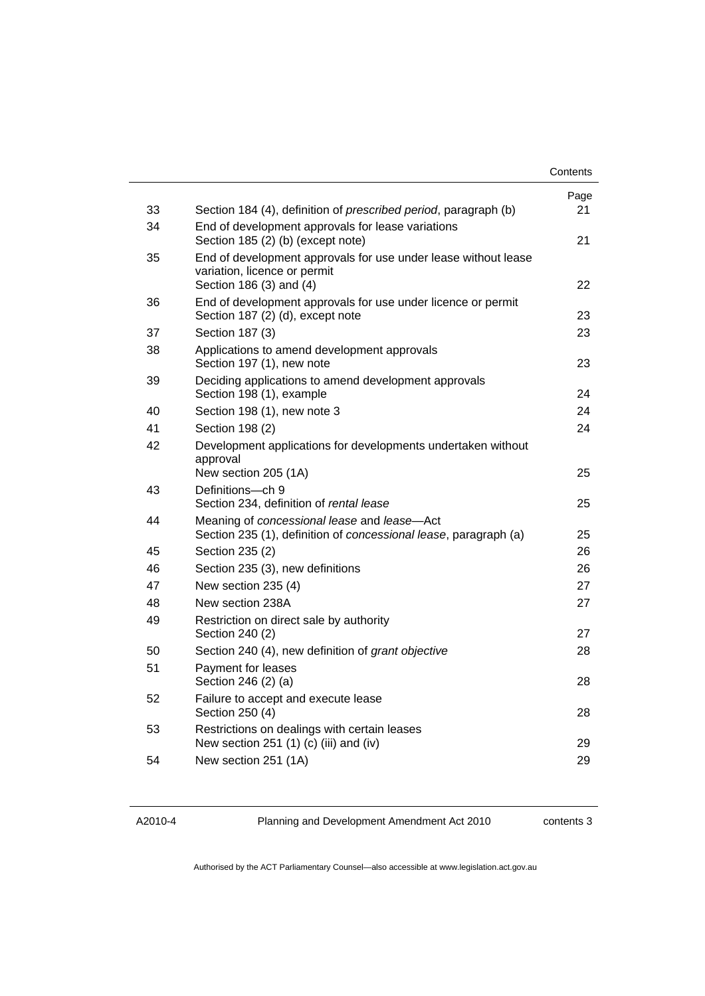|    |                                                                                                                           | Contents |
|----|---------------------------------------------------------------------------------------------------------------------------|----------|
|    |                                                                                                                           | Page     |
| 33 | Section 184 (4), definition of <i>prescribed period</i> , paragraph (b)                                                   | 21       |
| 34 | End of development approvals for lease variations<br>Section 185 (2) (b) (except note)                                    | 21       |
| 35 | End of development approvals for use under lease without lease<br>variation, licence or permit<br>Section 186 (3) and (4) | 22       |
| 36 | End of development approvals for use under licence or permit<br>Section 187 (2) (d), except note                          | 23       |
| 37 | Section 187 (3)                                                                                                           | 23       |
| 38 | Applications to amend development approvals<br>Section 197 (1), new note                                                  | 23       |
| 39 | Deciding applications to amend development approvals<br>Section 198 (1), example                                          | 24       |
| 40 | Section 198 (1), new note 3                                                                                               | 24       |
| 41 | Section 198 (2)                                                                                                           | 24       |
| 42 | Development applications for developments undertaken without<br>approval<br>New section 205 (1A)                          | 25       |
| 43 | Definitions-ch 9<br>Section 234, definition of rental lease                                                               | 25       |
| 44 | Meaning of concessional lease and lease-Act<br>Section 235 (1), definition of concessional lease, paragraph (a)           | 25       |
| 45 | Section 235 (2)                                                                                                           | 26       |
| 46 | Section 235 (3), new definitions                                                                                          | 26       |
| 47 | New section 235 (4)                                                                                                       | 27       |
| 48 | New section 238A                                                                                                          | 27       |
| 49 | Restriction on direct sale by authority<br>Section 240 (2)                                                                | 27       |
| 50 | Section 240 (4), new definition of grant objective                                                                        | 28       |
| 51 | Payment for leases<br>Section 246 (2) (a)                                                                                 | 28       |
| 52 | Failure to accept and execute lease<br>Section 250 (4)                                                                    | 28       |
| 53 | Restrictions on dealings with certain leases<br>New section 251 (1) (c) (iii) and (iv)                                    | 29       |
| 54 | New section 251 (1A)                                                                                                      | 29       |

A2010-4

Planning and Development Amendment Act 2010

contents 3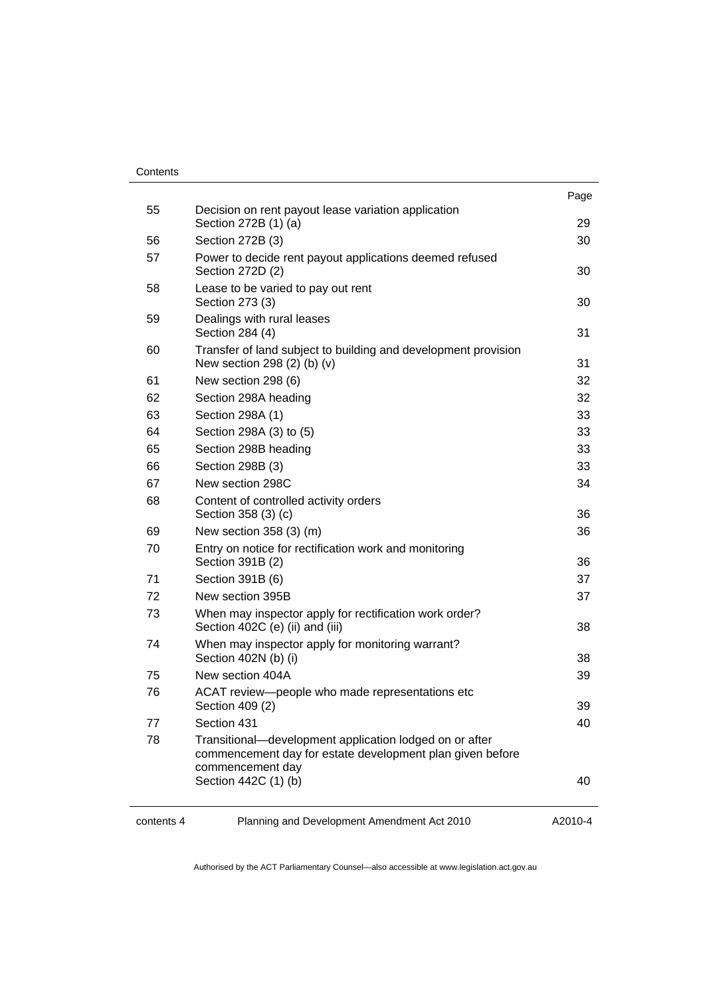| Contents |
|----------|
|----------|

|            |                                                                                                                                          | Page    |
|------------|------------------------------------------------------------------------------------------------------------------------------------------|---------|
| 55         | Decision on rent payout lease variation application<br>Section 272B (1) (a)                                                              | 29      |
| 56         | Section 272B (3)                                                                                                                         | 30      |
| 57         | Power to decide rent payout applications deemed refused<br>Section 272D (2)                                                              | 30      |
| 58         | Lease to be varied to pay out rent<br>Section 273 (3)                                                                                    | 30      |
| 59         | Dealings with rural leases<br>Section 284 (4)                                                                                            | 31      |
| 60         | Transfer of land subject to building and development provision<br>New section 298 (2) (b) (v)                                            | 31      |
| 61         | New section 298 (6)                                                                                                                      | 32      |
| 62         | Section 298A heading                                                                                                                     | 32      |
| 63         | Section 298A (1)                                                                                                                         | 33      |
| 64         | Section 298A (3) to (5)                                                                                                                  | 33      |
| 65         | Section 298B heading                                                                                                                     | 33      |
| 66         | Section 298B (3)                                                                                                                         | 33      |
| 67         | New section 298C                                                                                                                         | 34      |
| 68         | Content of controlled activity orders<br>Section 358 (3) (c)                                                                             | 36      |
| 69         | New section 358 (3) (m)                                                                                                                  | 36      |
| 70         | Entry on notice for rectification work and monitoring<br>Section 391B (2)                                                                | 36      |
| 71         | Section 391B (6)                                                                                                                         | 37      |
| 72         | New section 395B                                                                                                                         | 37      |
| 73         | When may inspector apply for rectification work order?<br>Section 402C (e) (ii) and (iii)                                                | 38      |
| 74         | When may inspector apply for monitoring warrant?<br>Section 402N (b) (i)                                                                 | 38      |
| 75         | New section 404A                                                                                                                         | 39      |
| 76         | ACAT review-people who made representations etc<br>Section 409 (2)                                                                       | 39      |
| 77         | Section 431                                                                                                                              | 40      |
| 78         | Transitional-development application lodged on or after<br>commencement day for estate development plan given before<br>commencement day |         |
|            | Section 442C (1) (b)                                                                                                                     | 40      |
| contents 4 | Planning and Development Amendment Act 2010                                                                                              | A2010-4 |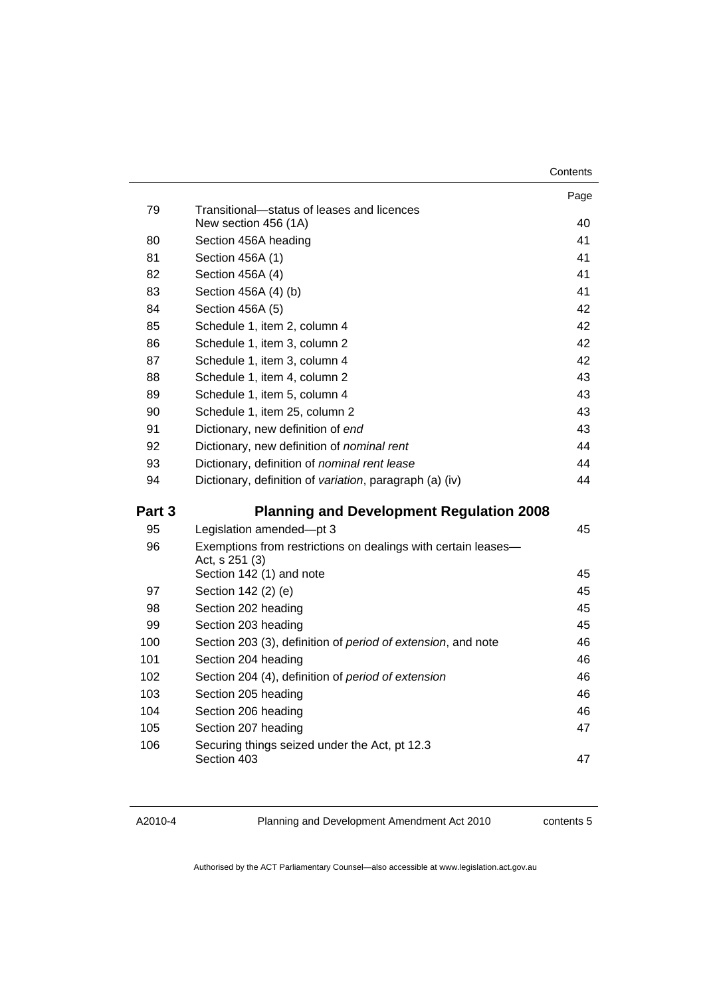| Contents |
|----------|
|----------|

|        |                                                                                 | Page |
|--------|---------------------------------------------------------------------------------|------|
| 79     | Transitional-status of leases and licences<br>New section 456 (1A)              | 40   |
| 80     | Section 456A heading                                                            | 41   |
| 81     | Section 456A (1)                                                                | 41   |
| 82     | Section 456A (4)                                                                | 41   |
| 83     | Section 456A (4) (b)                                                            | 41   |
| 84     | Section 456A (5)                                                                | 42   |
| 85     | Schedule 1, item 2, column 4                                                    | 42   |
| 86     | Schedule 1, item 3, column 2                                                    | 42   |
| 87     | Schedule 1, item 3, column 4                                                    | 42   |
| 88     | Schedule 1, item 4, column 2                                                    | 43   |
| 89     | Schedule 1, item 5, column 4                                                    | 43   |
| 90     | Schedule 1, item 25, column 2                                                   | 43   |
| 91     | Dictionary, new definition of end                                               | 43   |
| 92     | Dictionary, new definition of <i>nominal rent</i>                               | 44   |
| 93     | Dictionary, definition of nominal rent lease                                    | 44   |
| 94     | Dictionary, definition of variation, paragraph (a) (iv)                         | 44   |
| Part 3 | <b>Planning and Development Regulation 2008</b>                                 |      |
| 95     | Legislation amended-pt 3                                                        | 45   |
| 96     | Exemptions from restrictions on dealings with certain leases-<br>Act, s 251 (3) |      |
|        | Section 142 (1) and note                                                        | 45   |
| 97     | Section 142 (2) (e)                                                             | 45   |
| 98     | Section 202 heading                                                             | 45   |
| 99     | Section 203 heading                                                             | 45   |
| 100    | Section 203 (3), definition of period of extension, and note                    | 46   |
| 101    | Section 204 heading                                                             | 46   |
| 102    | Section 204 (4), definition of period of extension                              | 46   |
| 103    | Section 205 heading                                                             | 46   |
| 104    | Section 206 heading                                                             | 46   |
| 105    | Section 207 heading                                                             | 47   |
| 106    | Securing things seized under the Act, pt 12.3<br>Section 403                    | 47   |

Planning and Development Amendment Act 2010

contents 5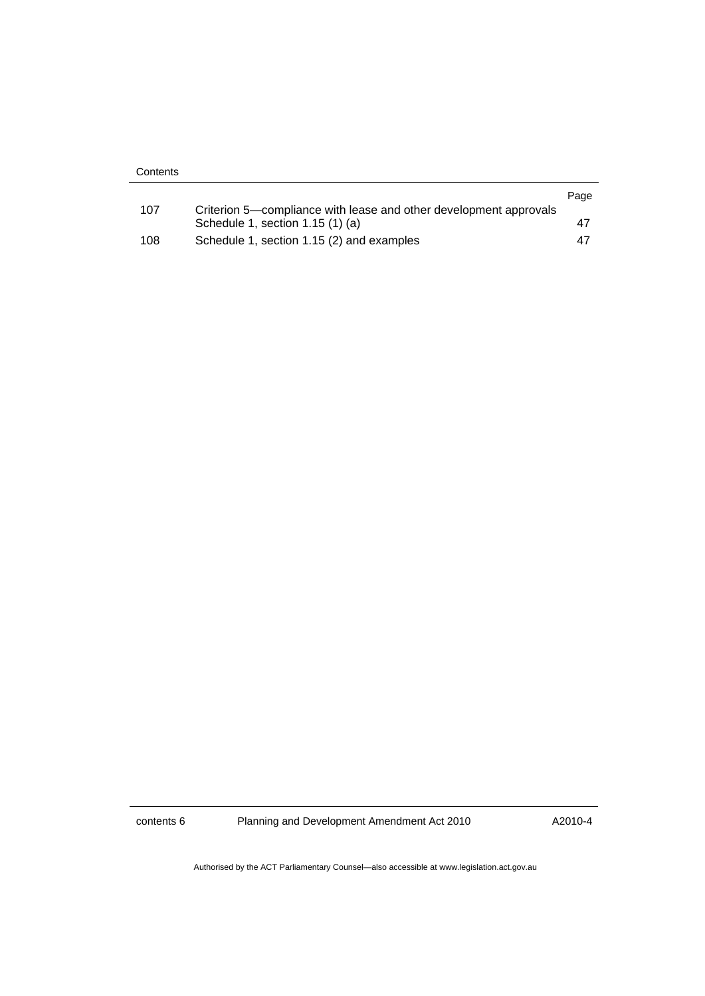| Contents |                                                                                                       |      |
|----------|-------------------------------------------------------------------------------------------------------|------|
|          |                                                                                                       | Page |
| 107      | Criterion 5—compliance with lease and other development approvals<br>Schedule 1, section 1.15 (1) (a) | 47   |
| 108      | Schedule 1, section 1.15 (2) and examples                                                             | -47  |

contents 6 Planning and Development Amendment Act 2010

A2010-4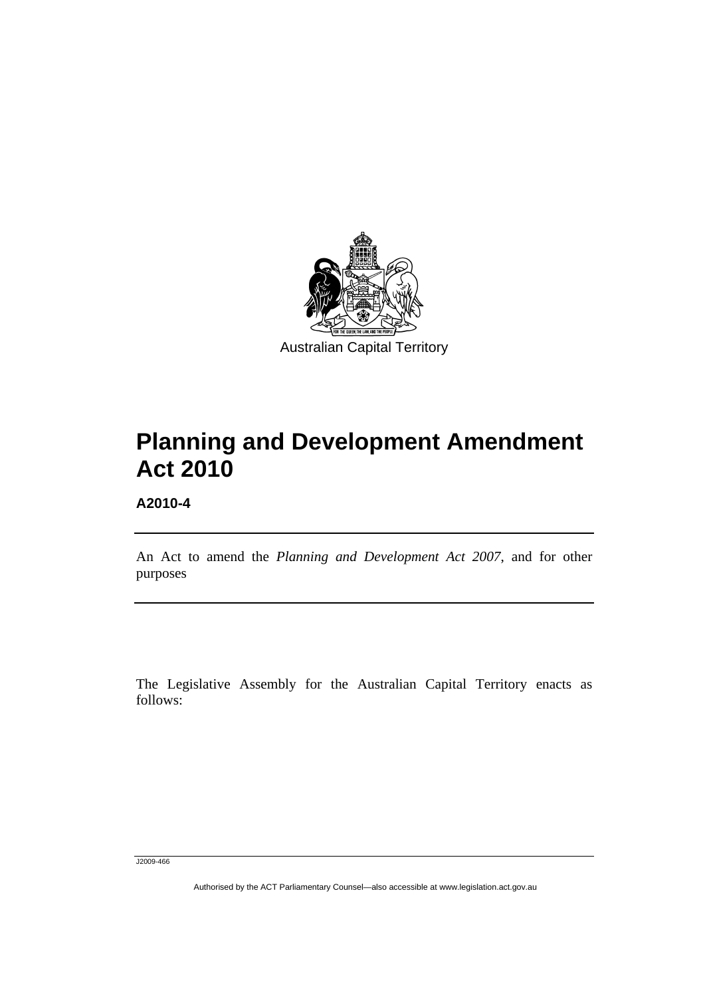<span id="page-6-0"></span>

# **Planning and Development Amendment Act 2010**

**A2010-4** 

l

An Act to amend the *Planning and Development Act 2007*, and for other purposes

The Legislative Assembly for the Australian Capital Territory enacts as follows:

J2009-466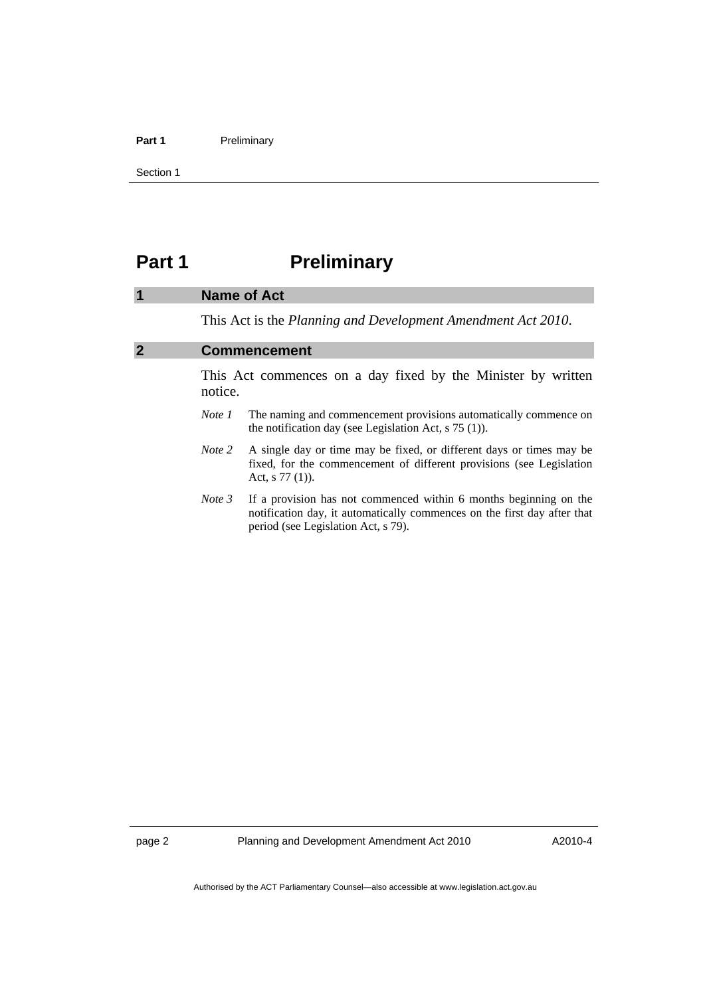#### <span id="page-7-0"></span>Part 1 **Preliminary**

Section 1

## **Part 1** Preliminary

#### **1 Name of Act**

This Act is the *Planning and Development Amendment Act 2010*.

## **2 Commencement**

This Act commences on a day fixed by the Minister by written notice.

- *Note 1* The naming and commencement provisions automatically commence on the notification day (see Legislation Act, s 75 (1)).
- *Note 2* A single day or time may be fixed, or different days or times may be fixed, for the commencement of different provisions (see Legislation Act, s 77 (1)).
- *Note 3* If a provision has not commenced within 6 months beginning on the notification day, it automatically commences on the first day after that period (see Legislation Act, s 79).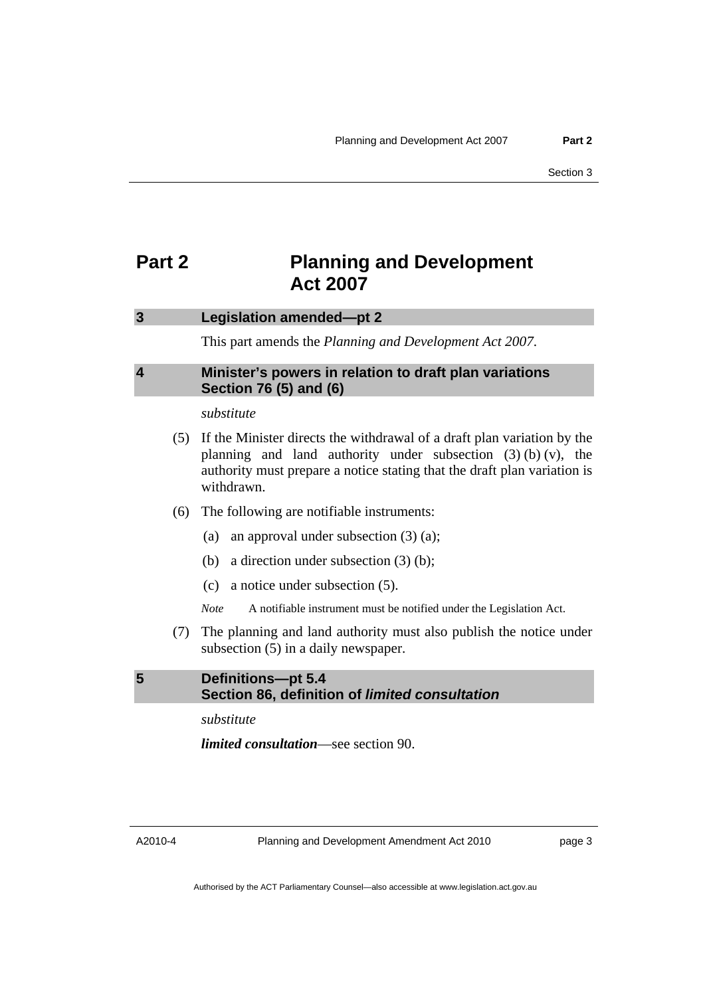## <span id="page-8-0"></span>**Part 2** Planning and Development **Act 2007**

#### **3 Legislation amended—pt 2**

This part amends the *Planning and Development Act 2007*.

## **4 Minister's powers in relation to draft plan variations Section 76 (5) and (6)**

## *substitute*

- (5) If the Minister directs the withdrawal of a draft plan variation by the planning and land authority under subsection  $(3)$  (b)  $(v)$ , the authority must prepare a notice stating that the draft plan variation is withdrawn.
- (6) The following are notifiable instruments:
	- (a) an approval under subsection (3) (a);
	- (b) a direction under subsection (3) (b);
	- (c) a notice under subsection (5).

*Note* A notifiable instrument must be notified under the Legislation Act.

 (7) The planning and land authority must also publish the notice under subsection (5) in a daily newspaper.

**5 Definitions—pt 5.4 Section 86, definition of** *limited consultation*

*substitute* 

*limited consultation*—see section 90.

A2010-4

Planning and Development Amendment Act 2010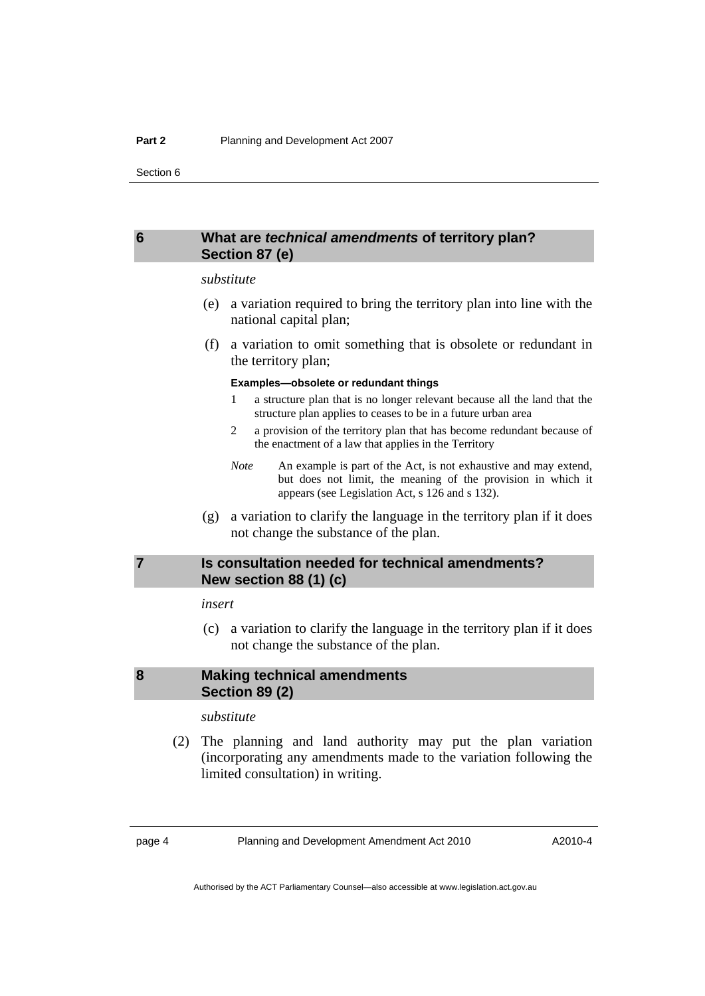## <span id="page-9-0"></span>**6 What are** *technical amendments* **of territory plan? Section 87 (e)**

#### *substitute*

- (e) a variation required to bring the territory plan into line with the national capital plan;
- (f) a variation to omit something that is obsolete or redundant in the territory plan;

#### **Examples—obsolete or redundant things**

- 1 a structure plan that is no longer relevant because all the land that the structure plan applies to ceases to be in a future urban area
- 2 a provision of the territory plan that has become redundant because of the enactment of a law that applies in the Territory
- *Note* An example is part of the Act, is not exhaustive and may extend, but does not limit, the meaning of the provision in which it appears (see Legislation Act, s 126 and s 132).
- (g) a variation to clarify the language in the territory plan if it does not change the substance of the plan.

## **7 Is consultation needed for technical amendments? New section 88 (1) (c)**

#### *insert*

 (c) a variation to clarify the language in the territory plan if it does not change the substance of the plan.

## **8 Making technical amendments Section 89 (2)**

#### *substitute*

 (2) The planning and land authority may put the plan variation (incorporating any amendments made to the variation following the limited consultation) in writing.

page 4 Planning and Development Amendment Act 2010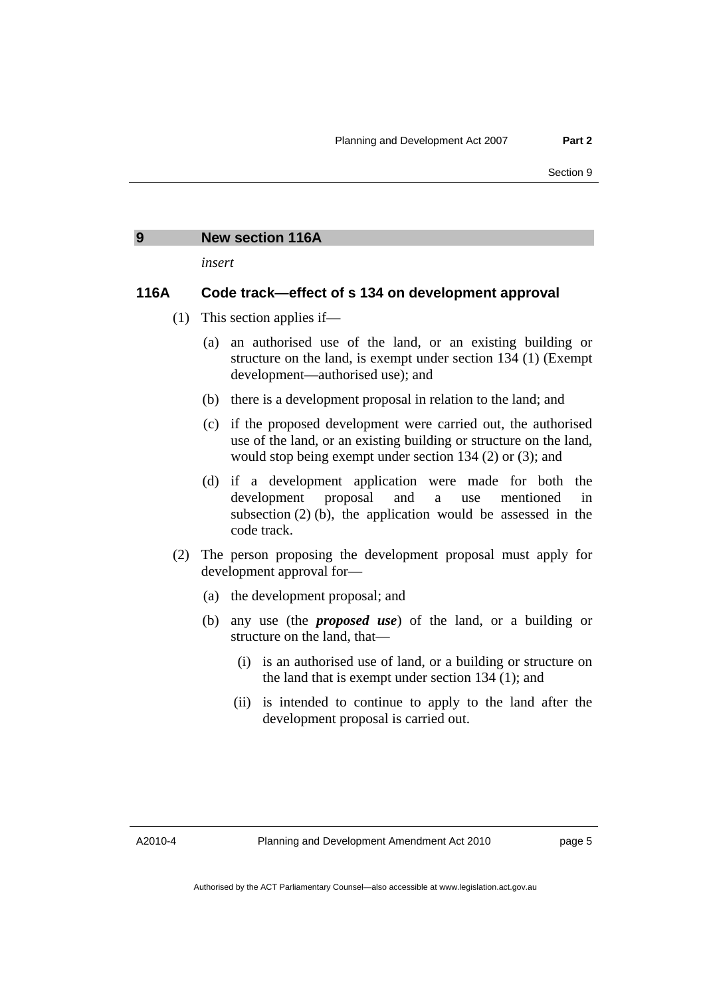#### <span id="page-10-0"></span>**9 New section 116A**

*insert* 

#### **116A Code track—effect of s 134 on development approval**

- (1) This section applies if—
	- (a) an authorised use of the land, or an existing building or structure on the land, is exempt under section 134 (1) (Exempt development—authorised use); and
	- (b) there is a development proposal in relation to the land; and
	- (c) if the proposed development were carried out, the authorised use of the land, or an existing building or structure on the land, would stop being exempt under section 134 (2) or (3); and
	- (d) if a development application were made for both the development proposal and a use mentioned in subsection (2) (b), the application would be assessed in the code track.
- (2) The person proposing the development proposal must apply for development approval for—
	- (a) the development proposal; and
	- (b) any use (the *proposed use*) of the land, or a building or structure on the land, that—
		- (i) is an authorised use of land, or a building or structure on the land that is exempt under section 134 (1); and
		- (ii) is intended to continue to apply to the land after the development proposal is carried out.

A2010-4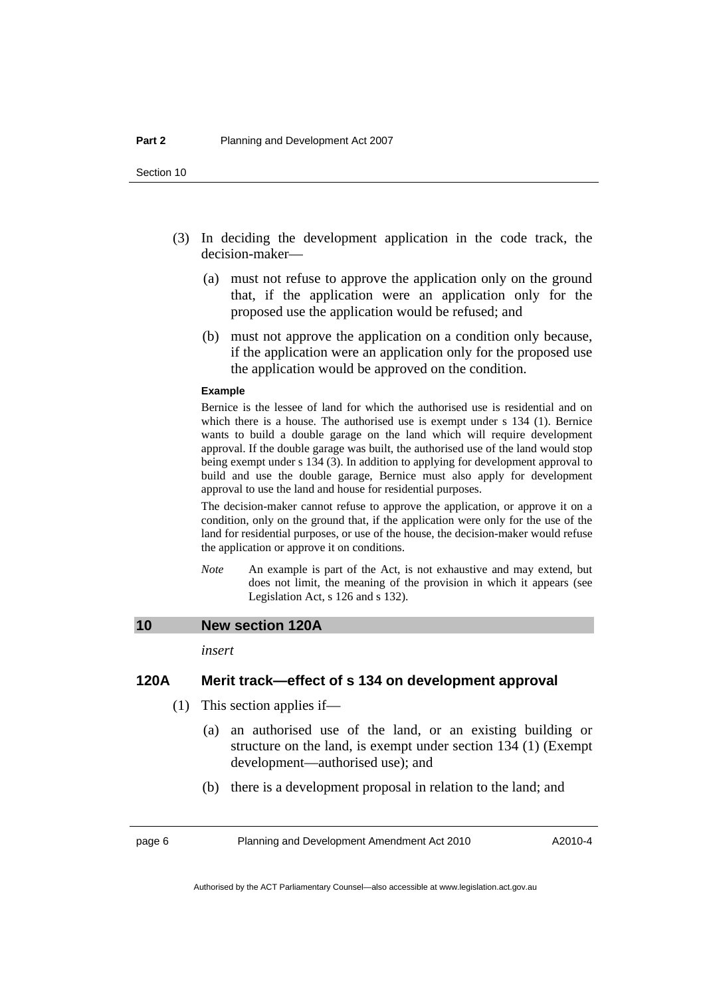- <span id="page-11-0"></span> (3) In deciding the development application in the code track, the decision-maker—
	- (a) must not refuse to approve the application only on the ground that, if the application were an application only for the proposed use the application would be refused; and
	- (b) must not approve the application on a condition only because, if the application were an application only for the proposed use the application would be approved on the condition.

#### **Example**

Bernice is the lessee of land for which the authorised use is residential and on which there is a house. The authorised use is exempt under s 134 (1). Bernice wants to build a double garage on the land which will require development approval. If the double garage was built, the authorised use of the land would stop being exempt under s 134 (3). In addition to applying for development approval to build and use the double garage, Bernice must also apply for development approval to use the land and house for residential purposes.

The decision-maker cannot refuse to approve the application, or approve it on a condition, only on the ground that, if the application were only for the use of the land for residential purposes, or use of the house, the decision-maker would refuse the application or approve it on conditions.

*Note* An example is part of the Act, is not exhaustive and may extend, but does not limit, the meaning of the provision in which it appears (see Legislation Act, s 126 and s 132).

#### **10 New section 120A**

*insert* 

### **120A Merit track—effect of s 134 on development approval**

- (1) This section applies if—
	- (a) an authorised use of the land, or an existing building or structure on the land, is exempt under section 134 (1) (Exempt development—authorised use); and
	- (b) there is a development proposal in relation to the land; and

page 6 Planning and Development Amendment Act 2010

A2010-4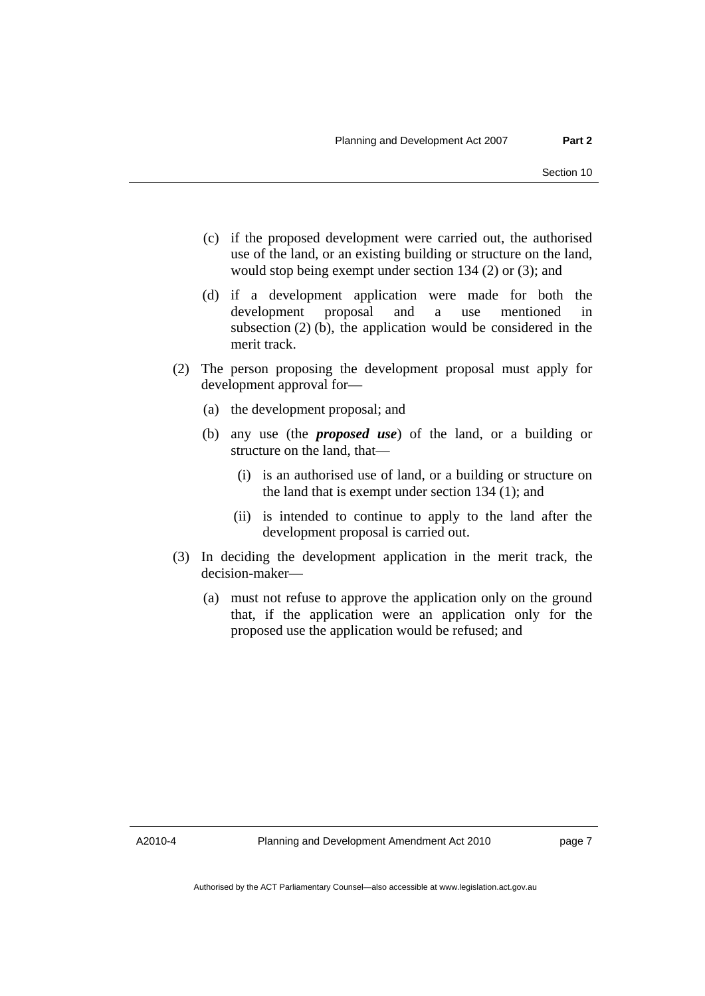- (c) if the proposed development were carried out, the authorised use of the land, or an existing building or structure on the land, would stop being exempt under section 134 (2) or (3); and
- (d) if a development application were made for both the development proposal and a use mentioned in subsection (2) (b), the application would be considered in the merit track.
- (2) The person proposing the development proposal must apply for development approval for—
	- (a) the development proposal; and
	- (b) any use (the *proposed use*) of the land, or a building or structure on the land, that—
		- (i) is an authorised use of land, or a building or structure on the land that is exempt under section 134 (1); and
		- (ii) is intended to continue to apply to the land after the development proposal is carried out.
- (3) In deciding the development application in the merit track, the decision-maker—
	- (a) must not refuse to approve the application only on the ground that, if the application were an application only for the proposed use the application would be refused; and

A2010-4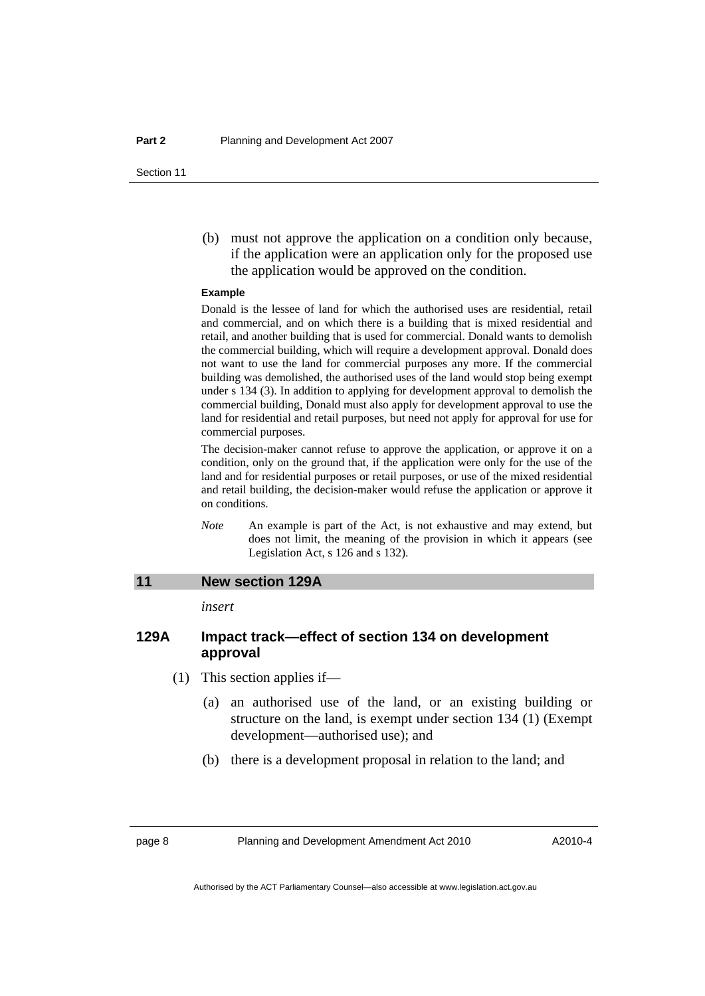<span id="page-13-0"></span> (b) must not approve the application on a condition only because, if the application were an application only for the proposed use the application would be approved on the condition.

#### **Example**

Donald is the lessee of land for which the authorised uses are residential, retail and commercial, and on which there is a building that is mixed residential and retail, and another building that is used for commercial. Donald wants to demolish the commercial building, which will require a development approval. Donald does not want to use the land for commercial purposes any more. If the commercial building was demolished, the authorised uses of the land would stop being exempt under s 134 (3). In addition to applying for development approval to demolish the commercial building, Donald must also apply for development approval to use the land for residential and retail purposes, but need not apply for approval for use for commercial purposes.

The decision-maker cannot refuse to approve the application, or approve it on a condition, only on the ground that, if the application were only for the use of the land and for residential purposes or retail purposes, or use of the mixed residential and retail building, the decision-maker would refuse the application or approve it on conditions.

*Note* An example is part of the Act, is not exhaustive and may extend, but does not limit, the meaning of the provision in which it appears (see Legislation Act, s 126 and s 132).

#### **11 New section 129A**

*insert* 

## **129A Impact track—effect of section 134 on development approval**

- (1) This section applies if—
	- (a) an authorised use of the land, or an existing building or structure on the land, is exempt under section 134 (1) (Exempt development—authorised use); and
	- (b) there is a development proposal in relation to the land; and

page 8 Planning and Development Amendment Act 2010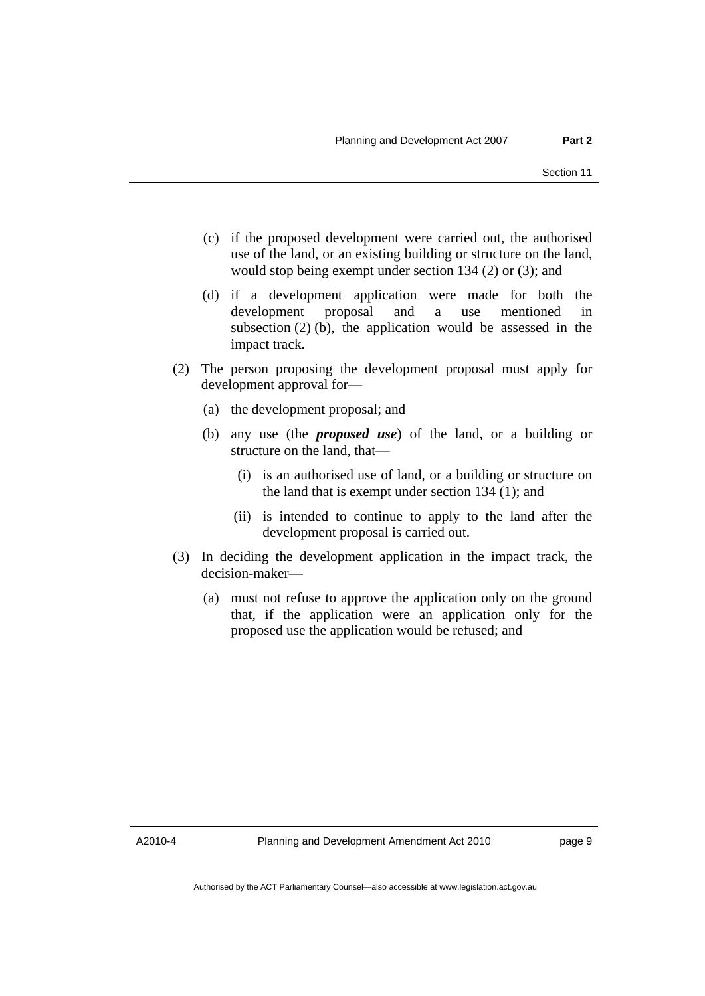- (c) if the proposed development were carried out, the authorised use of the land, or an existing building or structure on the land, would stop being exempt under section 134 (2) or (3); and
- (d) if a development application were made for both the development proposal and a use mentioned in subsection (2) (b), the application would be assessed in the impact track.
- (2) The person proposing the development proposal must apply for development approval for—
	- (a) the development proposal; and
	- (b) any use (the *proposed use*) of the land, or a building or structure on the land, that—
		- (i) is an authorised use of land, or a building or structure on the land that is exempt under section 134 (1); and
		- (ii) is intended to continue to apply to the land after the development proposal is carried out.
- (3) In deciding the development application in the impact track, the decision-maker—
	- (a) must not refuse to approve the application only on the ground that, if the application were an application only for the proposed use the application would be refused; and

A2010-4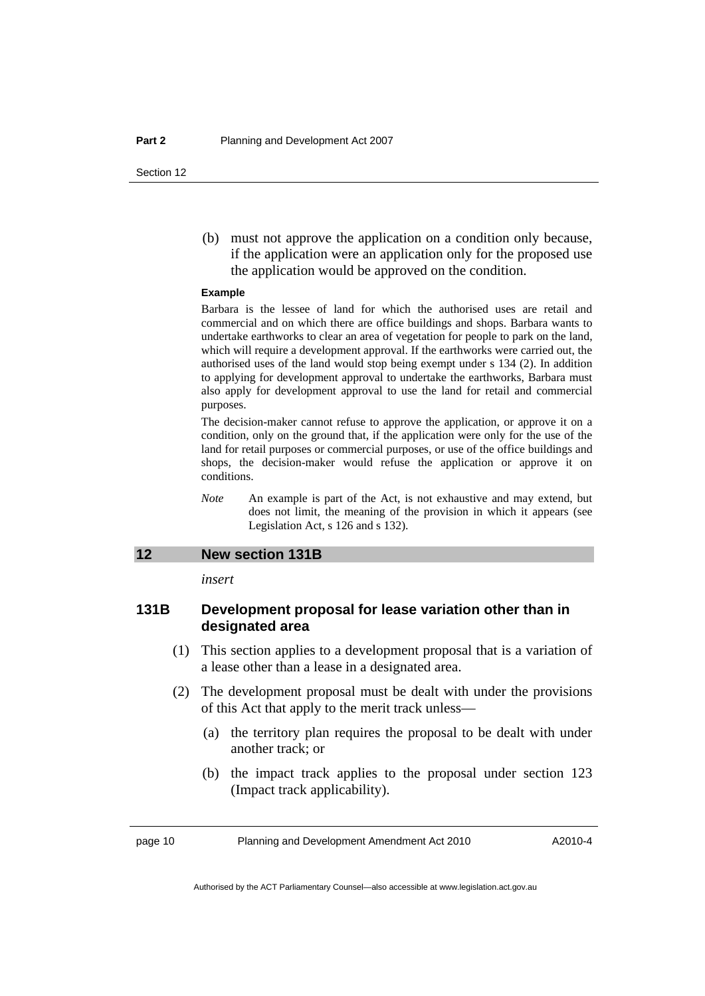<span id="page-15-0"></span> (b) must not approve the application on a condition only because, if the application were an application only for the proposed use the application would be approved on the condition.

#### **Example**

Barbara is the lessee of land for which the authorised uses are retail and commercial and on which there are office buildings and shops. Barbara wants to undertake earthworks to clear an area of vegetation for people to park on the land, which will require a development approval. If the earthworks were carried out, the authorised uses of the land would stop being exempt under s 134 (2). In addition to applying for development approval to undertake the earthworks, Barbara must also apply for development approval to use the land for retail and commercial purposes.

The decision-maker cannot refuse to approve the application, or approve it on a condition, only on the ground that, if the application were only for the use of the land for retail purposes or commercial purposes, or use of the office buildings and shops, the decision-maker would refuse the application or approve it on conditions.

*Note* An example is part of the Act, is not exhaustive and may extend, but does not limit, the meaning of the provision in which it appears (see Legislation Act, s 126 and s 132).

## **12 New section 131B**

*insert* 

## **131B Development proposal for lease variation other than in designated area**

- (1) This section applies to a development proposal that is a variation of a lease other than a lease in a designated area.
- (2) The development proposal must be dealt with under the provisions of this Act that apply to the merit track unless—
	- (a) the territory plan requires the proposal to be dealt with under another track; or
	- (b) the impact track applies to the proposal under section 123 (Impact track applicability).

page 10 Planning and Development Amendment Act 2010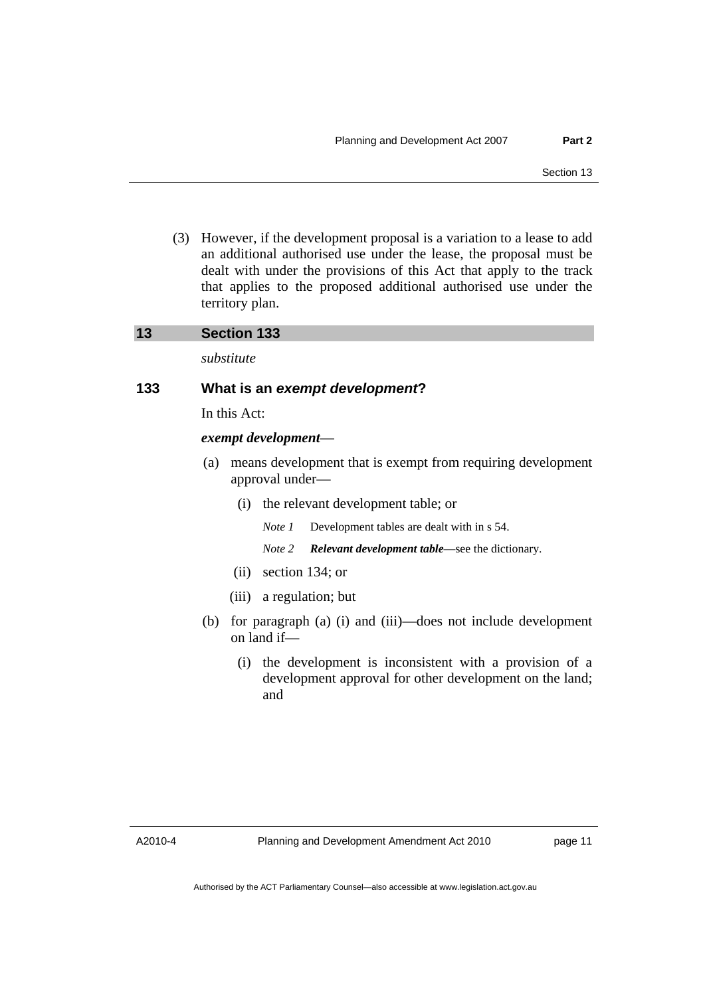<span id="page-16-0"></span> (3) However, if the development proposal is a variation to a lease to add an additional authorised use under the lease, the proposal must be dealt with under the provisions of this Act that apply to the track that applies to the proposed additional authorised use under the territory plan.

## **13 Section 133**

*substitute* 

## **133 What is an** *exempt development***?**

In this Act:

*exempt development*—

- (a) means development that is exempt from requiring development approval under—
	- (i) the relevant development table; or

*Note 1* Development tables are dealt with in s 54.

*Note 2 Relevant development table*—see the dictionary.

- (ii) section 134; or
- (iii) a regulation; but
- (b) for paragraph (a) (i) and (iii)—does not include development on land if—
	- (i) the development is inconsistent with a provision of a development approval for other development on the land; and

A2010-4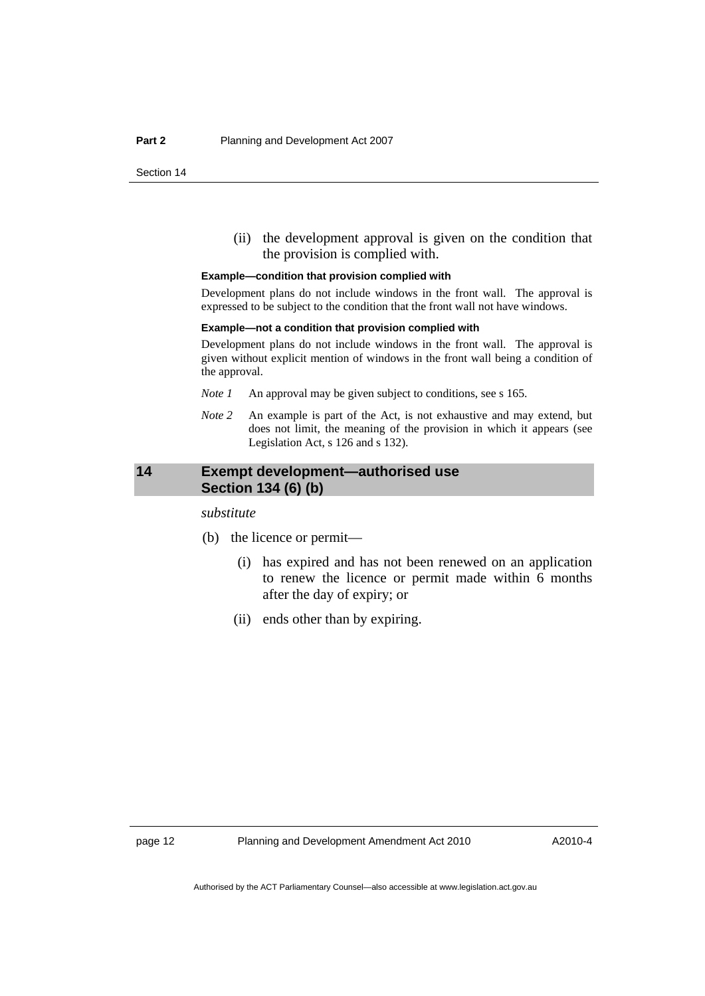<span id="page-17-0"></span> (ii) the development approval is given on the condition that the provision is complied with.

#### **Example—condition that provision complied with**

Development plans do not include windows in the front wall. The approval is expressed to be subject to the condition that the front wall not have windows.

#### **Example—not a condition that provision complied with**

Development plans do not include windows in the front wall. The approval is given without explicit mention of windows in the front wall being a condition of the approval.

- *Note 1* An approval may be given subject to conditions, see s 165.
- *Note 2* An example is part of the Act, is not exhaustive and may extend, but does not limit, the meaning of the provision in which it appears (see Legislation Act, s 126 and s 132).

## **14 Exempt development—authorised use Section 134 (6) (b)**

*substitute* 

- (b) the licence or permit—
	- (i) has expired and has not been renewed on an application to renew the licence or permit made within 6 months after the day of expiry; or
	- (ii) ends other than by expiring.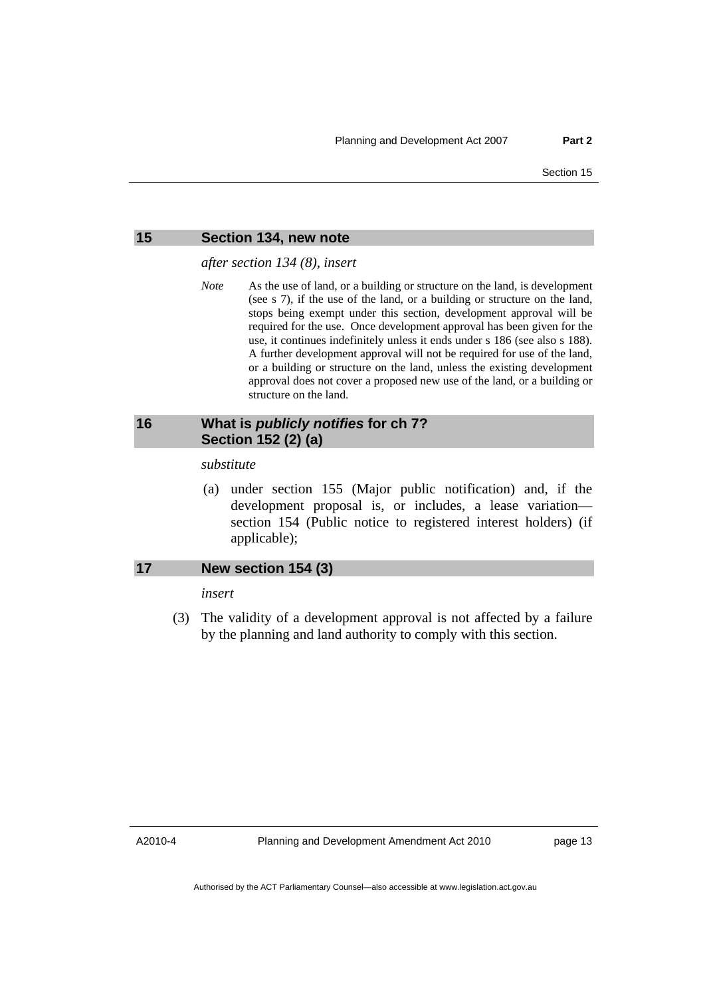<span id="page-18-0"></span>

#### **15 Section 134, new note**

*after section 134 (8), insert* 

*Note* As the use of land, or a building or structure on the land, is development (see s 7), if the use of the land, or a building or structure on the land, stops being exempt under this section, development approval will be required for the use. Once development approval has been given for the use, it continues indefinitely unless it ends under s 186 (see also s 188). A further development approval will not be required for use of the land, or a building or structure on the land, unless the existing development approval does not cover a proposed new use of the land, or a building or structure on the land.

## **16 What is** *publicly notifies* **for ch 7? Section 152 (2) (a)**

#### *substitute*

 (a) under section 155 (Major public notification) and, if the development proposal is, or includes, a lease variation section 154 (Public notice to registered interest holders) (if applicable);

#### **17 New section 154 (3)**

#### *insert*

 (3) The validity of a development approval is not affected by a failure by the planning and land authority to comply with this section.

A2010-4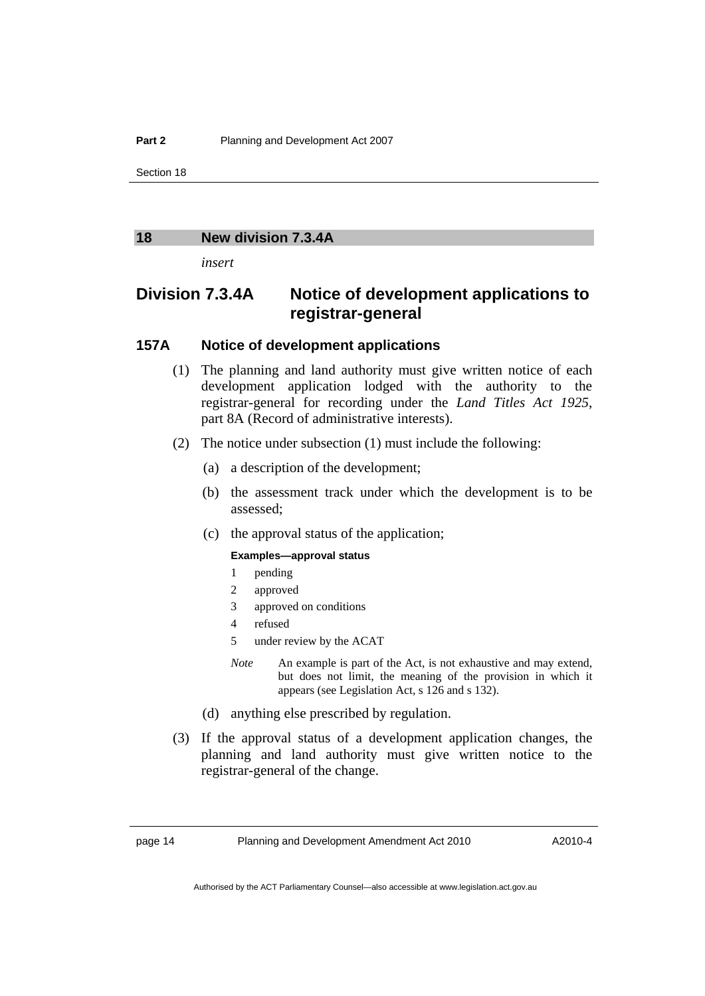## <span id="page-19-0"></span>**18 New division 7.3.4A**

*insert* 

## **Division 7.3.4A Notice of development applications to registrar-general**

## **157A Notice of development applications**

- (1) The planning and land authority must give written notice of each development application lodged with the authority to the registrar-general for recording under the *Land Titles Act 1925*, part 8A (Record of administrative interests).
- (2) The notice under subsection (1) must include the following:
	- (a) a description of the development;
	- (b) the assessment track under which the development is to be assessed;
	- (c) the approval status of the application;

#### **Examples—approval status**

- 1 pending
- 2 approved
- 3 approved on conditions
- 4 refused
- 5 under review by the ACAT
- *Note* An example is part of the Act, is not exhaustive and may extend, but does not limit, the meaning of the provision in which it appears (see Legislation Act, s 126 and s 132).
- (d) anything else prescribed by regulation.
- (3) If the approval status of a development application changes, the planning and land authority must give written notice to the registrar-general of the change.

page 14 Planning and Development Amendment Act 2010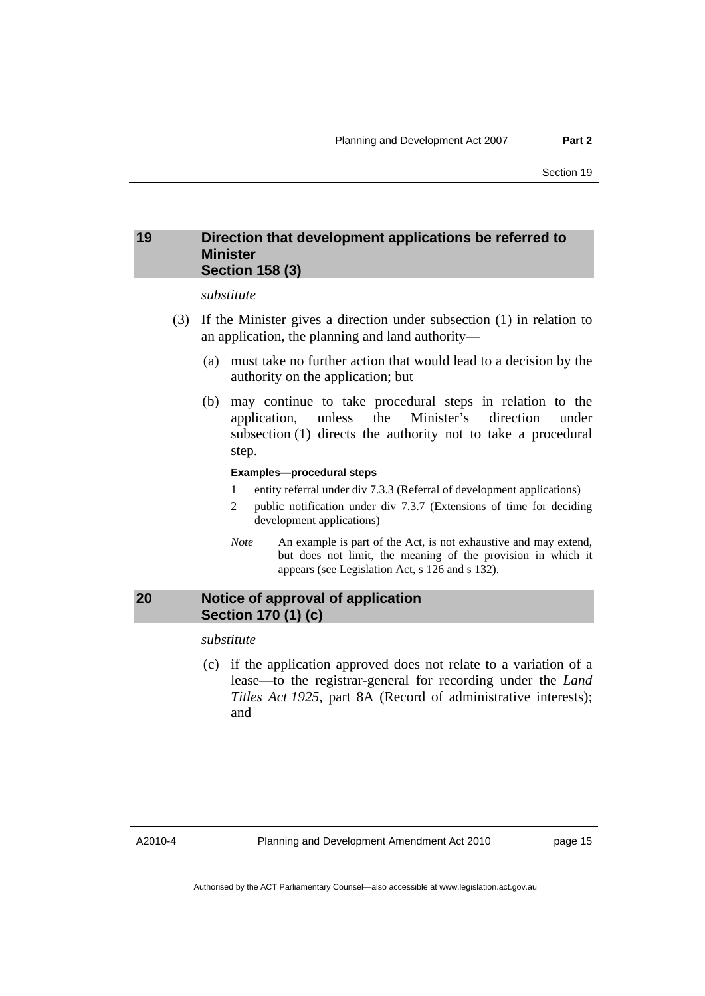## <span id="page-20-0"></span>**19 Direction that development applications be referred to Minister Section 158 (3)**

#### *substitute*

- (3) If the Minister gives a direction under subsection (1) in relation to an application, the planning and land authority—
	- (a) must take no further action that would lead to a decision by the authority on the application; but
	- (b) may continue to take procedural steps in relation to the application, unless the Minister's direction under subsection (1) directs the authority not to take a procedural step.

#### **Examples—procedural steps**

- 1 entity referral under div 7.3.3 (Referral of development applications)
- 2 public notification under div 7.3.7 (Extensions of time for deciding development applications)
- *Note* An example is part of the Act, is not exhaustive and may extend, but does not limit, the meaning of the provision in which it appears (see Legislation Act, s 126 and s 132).

## **20 Notice of approval of application Section 170 (1) (c)**

*substitute* 

 (c) if the application approved does not relate to a variation of a lease—to the registrar-general for recording under the *Land Titles Act 1925*, part 8A (Record of administrative interests); and

A2010-4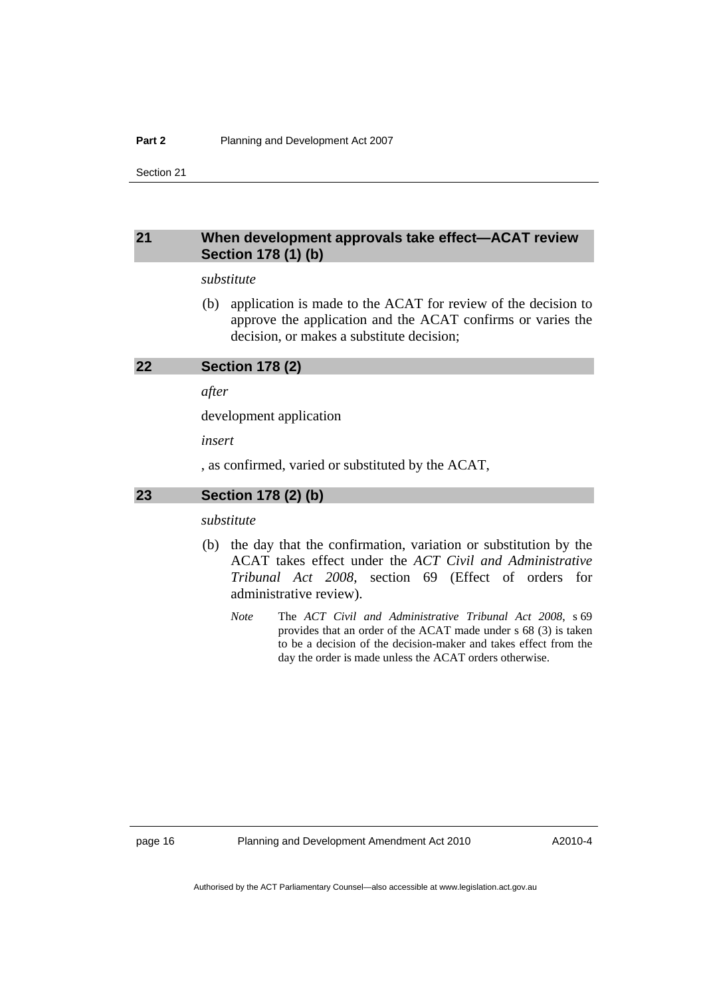## <span id="page-21-0"></span>**21 When development approvals take effect—ACAT review Section 178 (1) (b)**

#### *substitute*

 (b) application is made to the ACAT for review of the decision to approve the application and the ACAT confirms or varies the decision, or makes a substitute decision;

#### **22 Section 178 (2)**

*after* 

development application

*insert* 

, as confirmed, varied or substituted by the ACAT,

#### **23 Section 178 (2) (b)**

*substitute* 

- (b) the day that the confirmation, variation or substitution by the ACAT takes effect under the *ACT Civil and Administrative Tribunal Act 2008*, section 69 (Effect of orders for administrative review).
	- *Note* The *ACT Civil and Administrative Tribunal Act 2008*, s 69 provides that an order of the ACAT made under s 68 (3) is taken to be a decision of the decision-maker and takes effect from the day the order is made unless the ACAT orders otherwise.

page 16 Planning and Development Amendment Act 2010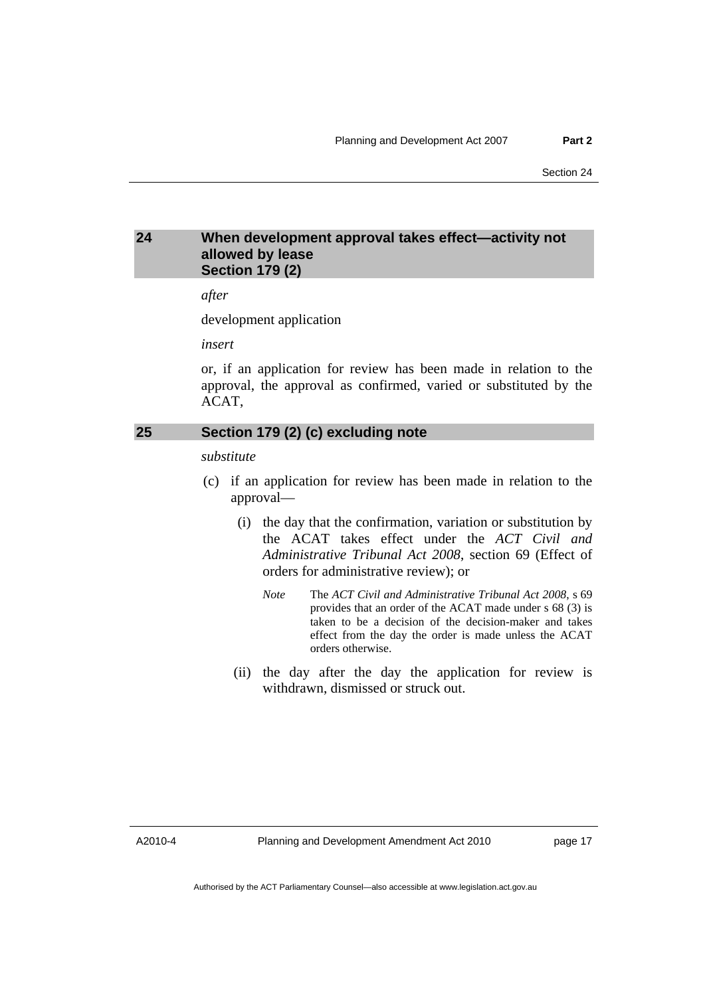## <span id="page-22-0"></span>**24 When development approval takes effect—activity not allowed by lease Section 179 (2)**

*after* 

development application

*insert* 

or, if an application for review has been made in relation to the approval, the approval as confirmed, varied or substituted by the ACAT,

## **25 Section 179 (2) (c) excluding note**

*substitute* 

- (c) if an application for review has been made in relation to the approval—
	- (i) the day that the confirmation, variation or substitution by the ACAT takes effect under the *ACT Civil and Administrative Tribunal Act 2008*, section 69 (Effect of orders for administrative review); or
		- *Note* The *ACT Civil and Administrative Tribunal Act 2008*, s 69 provides that an order of the ACAT made under s 68 (3) is taken to be a decision of the decision-maker and takes effect from the day the order is made unless the ACAT orders otherwise.
	- (ii) the day after the day the application for review is withdrawn, dismissed or struck out.

A2010-4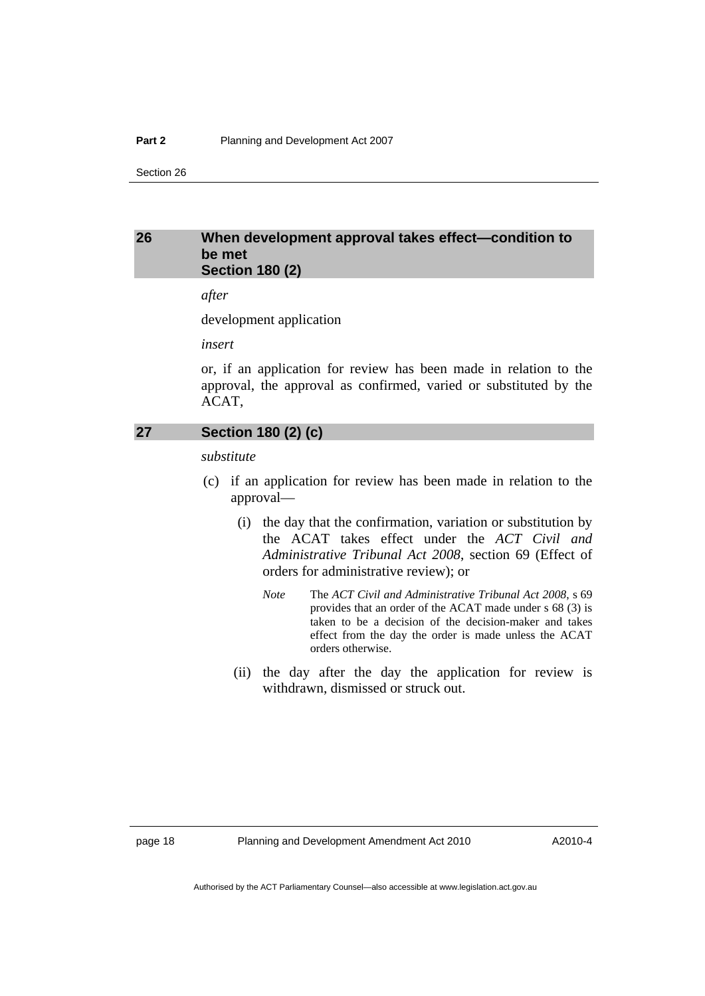## <span id="page-23-0"></span>**26 When development approval takes effect—condition to be met Section 180 (2)**

*after* 

development application

*insert* 

or, if an application for review has been made in relation to the approval, the approval as confirmed, varied or substituted by the ACAT,

## **27 Section 180 (2) (c)**

*substitute* 

- (c) if an application for review has been made in relation to the approval—
	- (i) the day that the confirmation, variation or substitution by the ACAT takes effect under the *ACT Civil and Administrative Tribunal Act 2008*, section 69 (Effect of orders for administrative review); or
		- *Note* The *ACT Civil and Administrative Tribunal Act 2008*, s 69 provides that an order of the ACAT made under s 68 (3) is taken to be a decision of the decision-maker and takes effect from the day the order is made unless the ACAT orders otherwise.
	- (ii) the day after the day the application for review is withdrawn, dismissed or struck out.

page 18 Planning and Development Amendment Act 2010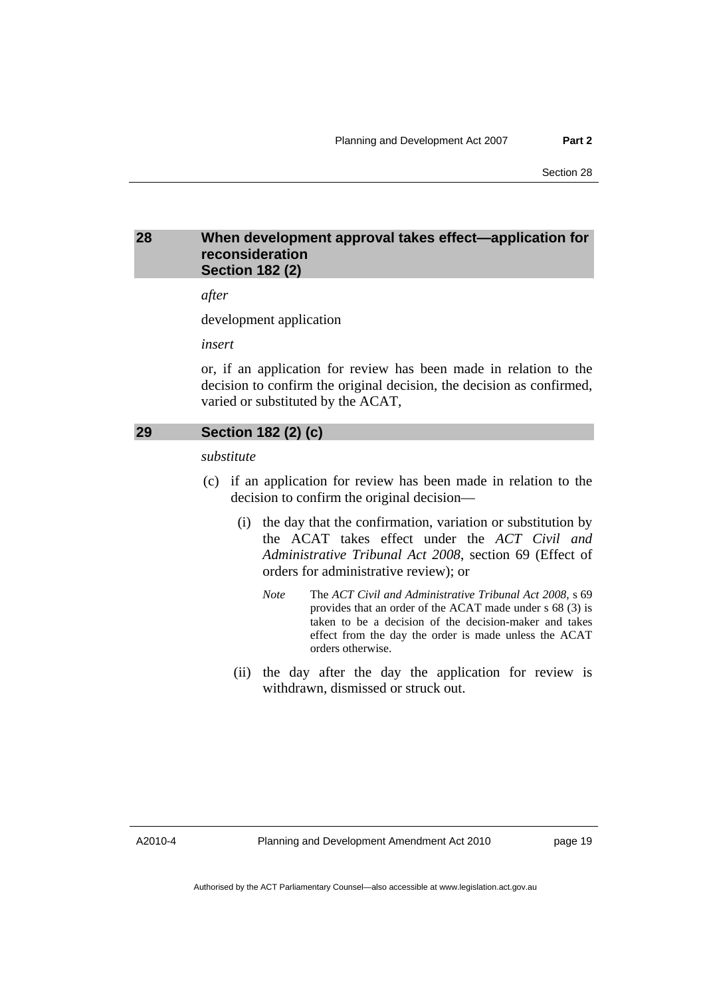## <span id="page-24-0"></span>**28 When development approval takes effect—application for reconsideration Section 182 (2)**

*after* 

development application

*insert* 

or, if an application for review has been made in relation to the decision to confirm the original decision, the decision as confirmed, varied or substituted by the ACAT,

## **29 Section 182 (2) (c)**

*substitute* 

- (c) if an application for review has been made in relation to the decision to confirm the original decision—
	- (i) the day that the confirmation, variation or substitution by the ACAT takes effect under the *ACT Civil and Administrative Tribunal Act 2008*, section 69 (Effect of orders for administrative review); or
		- *Note* The *ACT Civil and Administrative Tribunal Act 2008*, s 69 provides that an order of the ACAT made under s 68 (3) is taken to be a decision of the decision-maker and takes effect from the day the order is made unless the ACAT orders otherwise.
	- (ii) the day after the day the application for review is withdrawn, dismissed or struck out.

A2010-4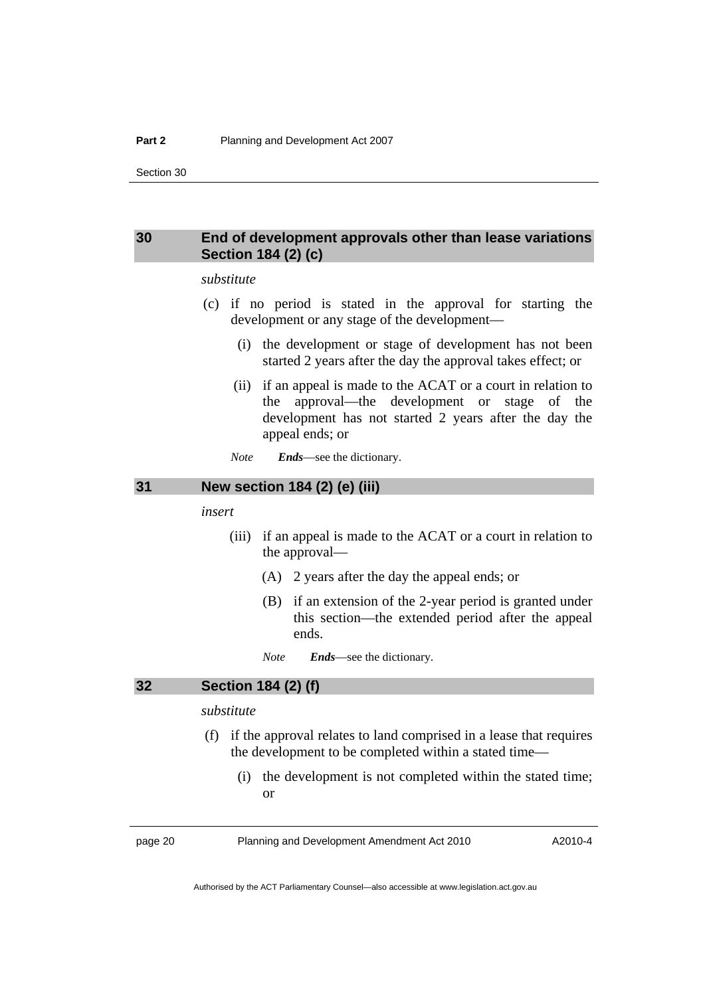## <span id="page-25-0"></span>**30 End of development approvals other than lease variations Section 184 (2) (c)**

#### *substitute*

- (c) if no period is stated in the approval for starting the development or any stage of the development—
	- (i) the development or stage of development has not been started 2 years after the day the approval takes effect; or
	- (ii) if an appeal is made to the ACAT or a court in relation to the approval—the development or stage of the development has not started 2 years after the day the appeal ends; or
	- *Note Ends*—see the dictionary.

## **31 New section 184 (2) (e) (iii)**

#### *insert*

- (iii) if an appeal is made to the ACAT or a court in relation to the approval—
	- (A) 2 years after the day the appeal ends; or
	- (B) if an extension of the 2-year period is granted under this section—the extended period after the appeal ends.

*Note Ends*—see the dictionary.

## **32 Section 184 (2) (f)**

## *substitute*

- (f) if the approval relates to land comprised in a lease that requires the development to be completed within a stated time—
	- (i) the development is not completed within the stated time; or

page 20 Planning and Development Amendment Act 2010

A2010-4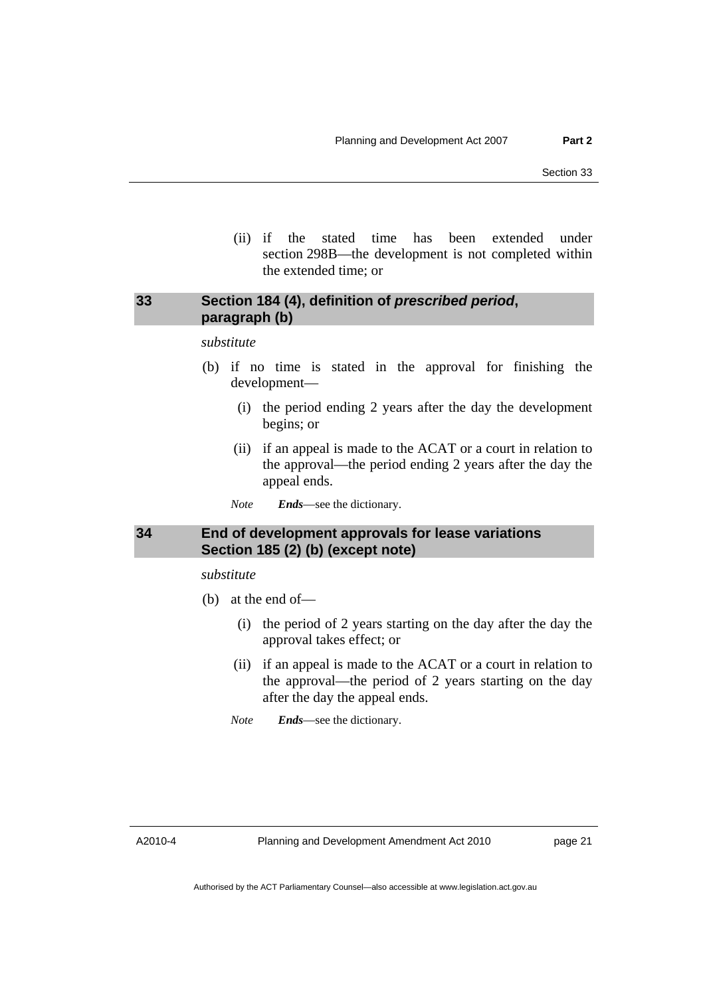(ii) if the stated time has been extended under section 298B—the development is not completed within the extended time; or

## <span id="page-26-0"></span>**33 Section 184 (4), definition of** *prescribed period***, paragraph (b)**

#### *substitute*

- (b) if no time is stated in the approval for finishing the development—
	- (i) the period ending 2 years after the day the development begins; or
	- (ii) if an appeal is made to the ACAT or a court in relation to the approval—the period ending 2 years after the day the appeal ends.
	- *Note Ends*—see the dictionary.

## **34 End of development approvals for lease variations Section 185 (2) (b) (except note)**

*substitute* 

- (b) at the end of—
	- (i) the period of 2 years starting on the day after the day the approval takes effect; or
	- (ii) if an appeal is made to the ACAT or a court in relation to the approval—the period of 2 years starting on the day after the day the appeal ends.
	- *Note Ends*—see the dictionary.

A2010-4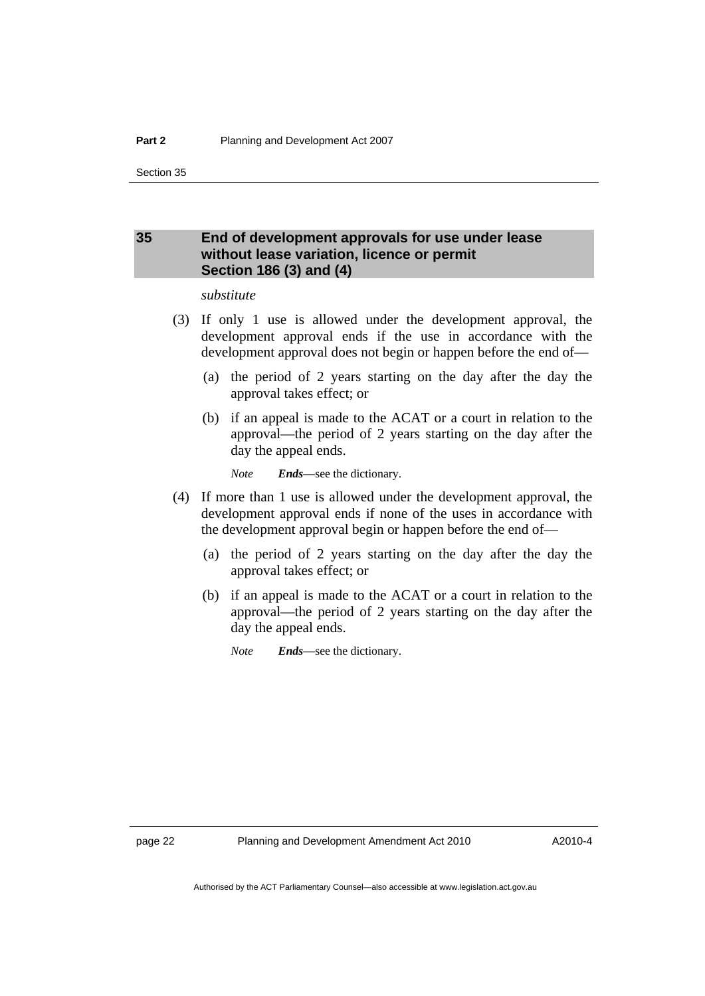## <span id="page-27-0"></span>**35 End of development approvals for use under lease without lease variation, licence or permit Section 186 (3) and (4)**

#### *substitute*

- (3) If only 1 use is allowed under the development approval, the development approval ends if the use in accordance with the development approval does not begin or happen before the end of—
	- (a) the period of 2 years starting on the day after the day the approval takes effect; or
	- (b) if an appeal is made to the ACAT or a court in relation to the approval—the period of 2 years starting on the day after the day the appeal ends.

*Note Ends*—see the dictionary.

- (4) If more than 1 use is allowed under the development approval, the development approval ends if none of the uses in accordance with the development approval begin or happen before the end of—
	- (a) the period of 2 years starting on the day after the day the approval takes effect; or
	- (b) if an appeal is made to the ACAT or a court in relation to the approval—the period of 2 years starting on the day after the day the appeal ends.

*Note Ends*—see the dictionary.

page 22 Planning and Development Amendment Act 2010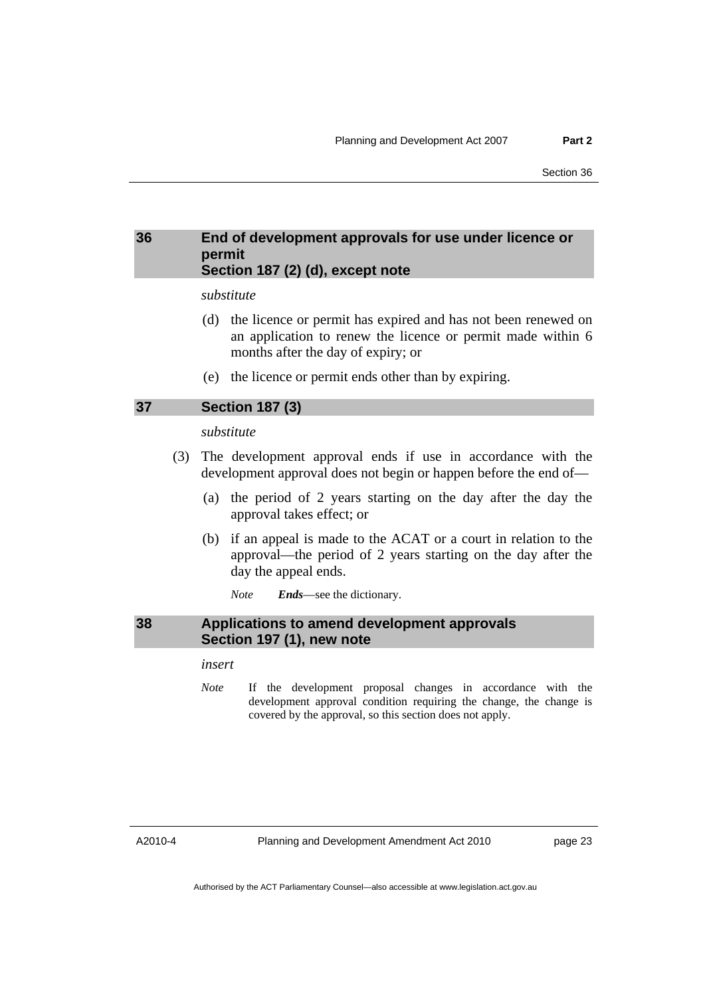## <span id="page-28-0"></span>**36 End of development approvals for use under licence or permit Section 187 (2) (d), except note**

#### *substitute*

- (d) the licence or permit has expired and has not been renewed on an application to renew the licence or permit made within 6 months after the day of expiry; or
- (e) the licence or permit ends other than by expiring.

#### **37 Section 187 (3)**

#### *substitute*

- (3) The development approval ends if use in accordance with the development approval does not begin or happen before the end of—
	- (a) the period of 2 years starting on the day after the day the approval takes effect; or
	- (b) if an appeal is made to the ACAT or a court in relation to the approval—the period of 2 years starting on the day after the day the appeal ends.
		- *Note Ends*—see the dictionary.

#### **38 Applications to amend development approvals Section 197 (1), new note**

### *insert*

*Note* If the development proposal changes in accordance with the development approval condition requiring the change, the change is covered by the approval, so this section does not apply.

A2010-4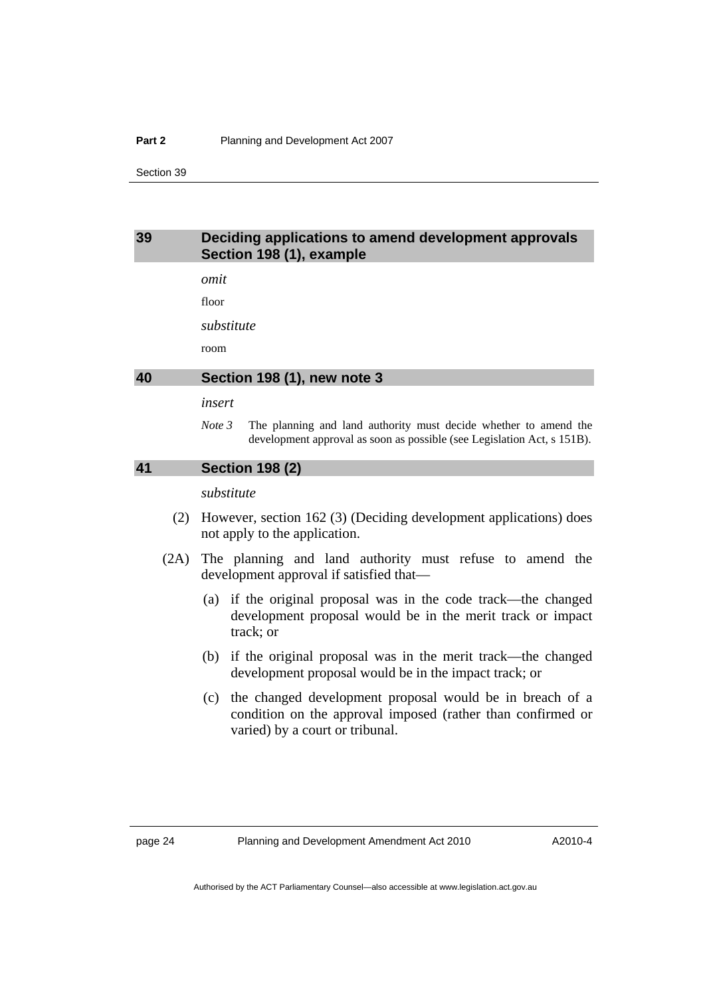#### <span id="page-29-0"></span>**Part 2** Planning and Development Act 2007

Section 39

### **39 Deciding applications to amend development approvals Section 198 (1), example**

*omit* 

floor

*substitute* 

room

#### **40 Section 198 (1), new note 3**

#### *insert*

*Note 3* The planning and land authority must decide whether to amend the development approval as soon as possible (see Legislation Act, s 151B).

#### **41 Section 198 (2)**

#### *substitute*

- (2) However, section 162 (3) (Deciding development applications) does not apply to the application.
- (2A) The planning and land authority must refuse to amend the development approval if satisfied that—
	- (a) if the original proposal was in the code track—the changed development proposal would be in the merit track or impact track; or
	- (b) if the original proposal was in the merit track—the changed development proposal would be in the impact track; or
	- (c) the changed development proposal would be in breach of a condition on the approval imposed (rather than confirmed or varied) by a court or tribunal.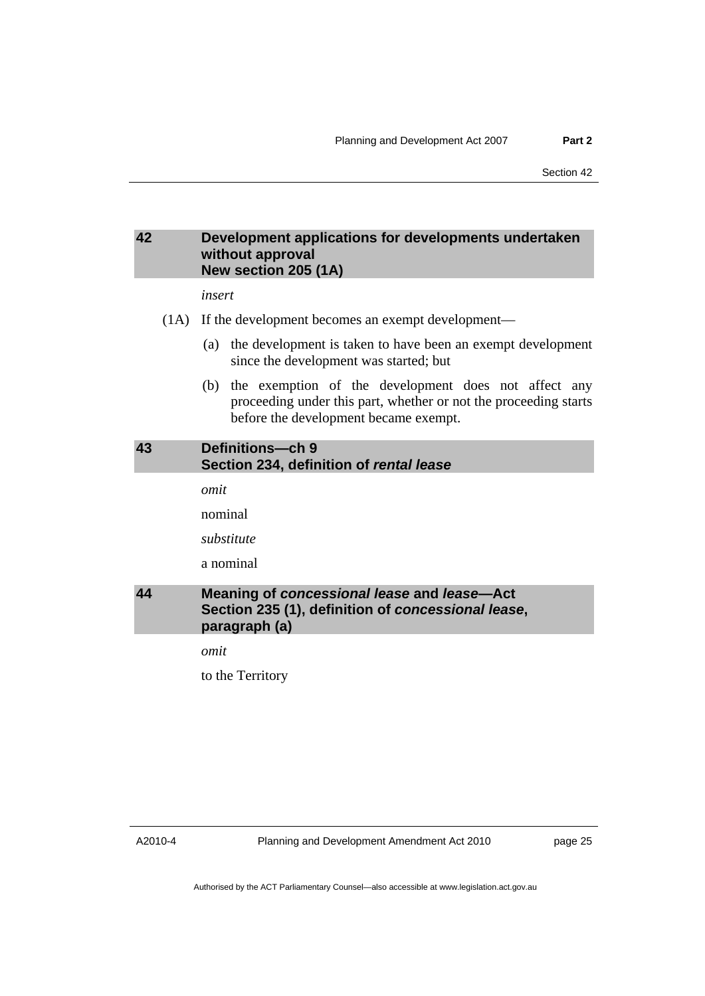## <span id="page-30-0"></span>**42 Development applications for developments undertaken without approval New section 205 (1A)**

*insert* 

- (1A) If the development becomes an exempt development—
	- (a) the development is taken to have been an exempt development since the development was started; but
	- (b) the exemption of the development does not affect any proceeding under this part, whether or not the proceeding starts before the development became exempt.

## **43 Definitions—ch 9 Section 234, definition of** *rental lease*

*omit* 

nominal

*substitute* 

a nominal

## **44 Meaning of** *concessional lease* **and** *lease***—Act Section 235 (1), definition of** *concessional lease***, paragraph (a)**

*omit* 

to the Territory

A2010-4

Planning and Development Amendment Act 2010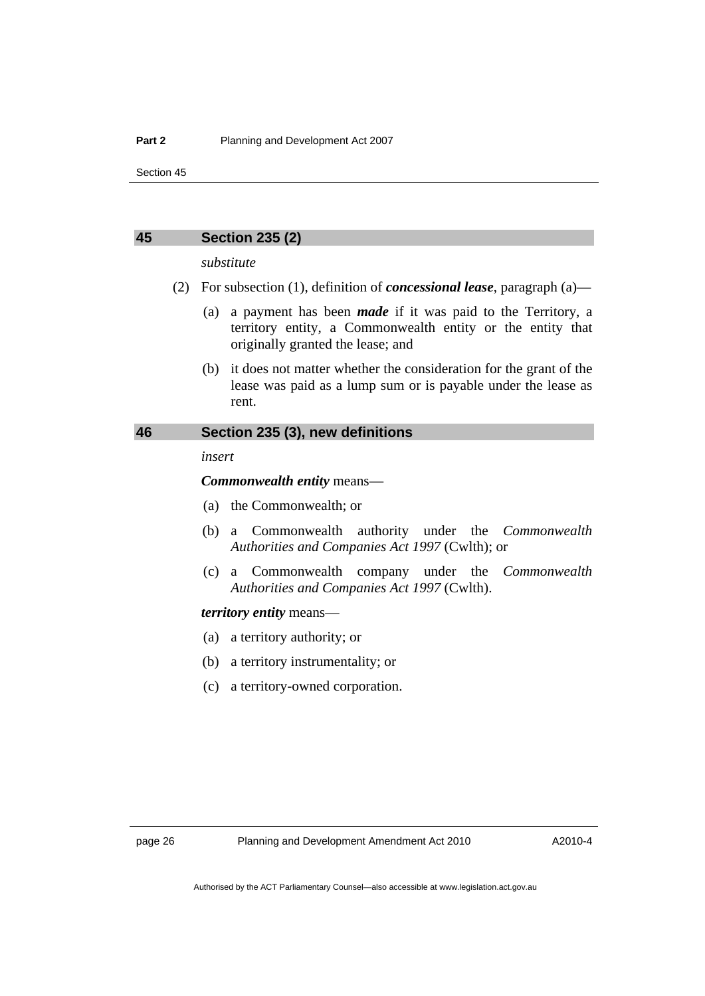#### <span id="page-31-0"></span>**45 Section 235 (2)**

*substitute* 

- (2) For subsection (1), definition of *concessional lease*, paragraph (a)—
	- (a) a payment has been *made* if it was paid to the Territory, a territory entity, a Commonwealth entity or the entity that originally granted the lease; and
	- (b) it does not matter whether the consideration for the grant of the lease was paid as a lump sum or is payable under the lease as rent.

## **46 Section 235 (3), new definitions**

*insert* 

*Commonwealth entity* means—

- (a) the Commonwealth; or
- (b) a Commonwealth authority under the *Commonwealth Authorities and Companies Act 1997* (Cwlth); or
- (c) a Commonwealth company under the *Commonwealth Authorities and Companies Act 1997* (Cwlth).

#### *territory entity* means—

- (a) a territory authority; or
- (b) a territory instrumentality; or
- (c) a territory-owned corporation.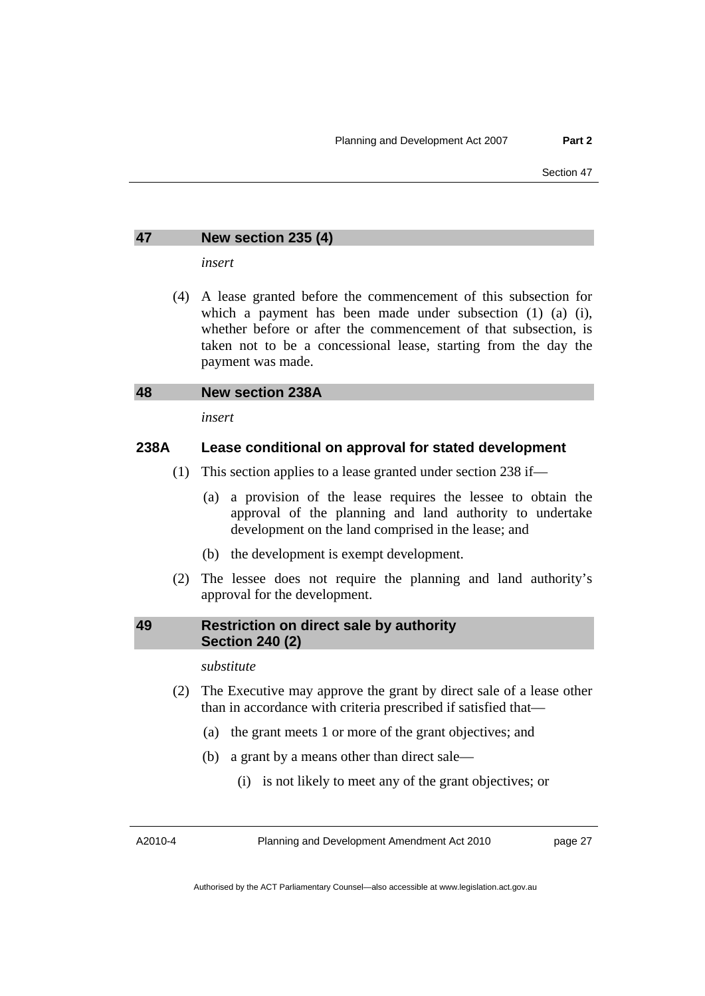## <span id="page-32-0"></span>**47 New section 235 (4)**

*insert* 

 (4) A lease granted before the commencement of this subsection for which a payment has been made under subsection (1) (a) (i), whether before or after the commencement of that subsection, is taken not to be a concessional lease, starting from the day the payment was made.

#### **48 New section 238A**

*insert* 

## **238A Lease conditional on approval for stated development**

- (1) This section applies to a lease granted under section 238 if—
	- (a) a provision of the lease requires the lessee to obtain the approval of the planning and land authority to undertake development on the land comprised in the lease; and
	- (b) the development is exempt development.
- (2) The lessee does not require the planning and land authority's approval for the development.

#### **49 Restriction on direct sale by authority Section 240 (2)**

#### *substitute*

- (2) The Executive may approve the grant by direct sale of a lease other than in accordance with criteria prescribed if satisfied that—
	- (a) the grant meets 1 or more of the grant objectives; and
	- (b) a grant by a means other than direct sale—
		- (i) is not likely to meet any of the grant objectives; or

A2010-4

Planning and Development Amendment Act 2010

page 27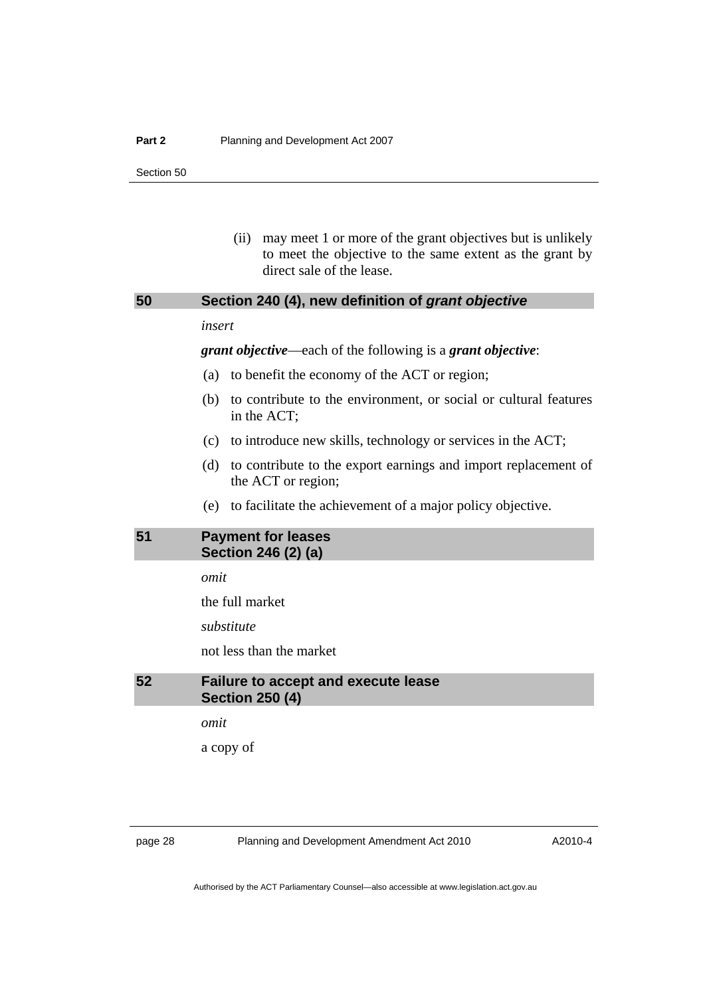(ii) may meet 1 or more of the grant objectives but is unlikely to meet the objective to the same extent as the grant by direct sale of the lease.

## <span id="page-33-0"></span>**50 Section 240 (4), new definition of** *grant objective*

#### *insert*

*grant objective*—each of the following is a *grant objective*:

- (a) to benefit the economy of the ACT or region;
- (b) to contribute to the environment, or social or cultural features in the ACT;
- (c) to introduce new skills, technology or services in the ACT;
- (d) to contribute to the export earnings and import replacement of the ACT or region;
- (e) to facilitate the achievement of a major policy objective.

## **51 Payment for leases Section 246 (2) (a)**

*omit* 

the full market

*substitute* 

not less than the market

## **52 Failure to accept and execute lease Section 250 (4)**

*omit* 

a copy of

page 28 Planning and Development Amendment Act 2010

A2010-4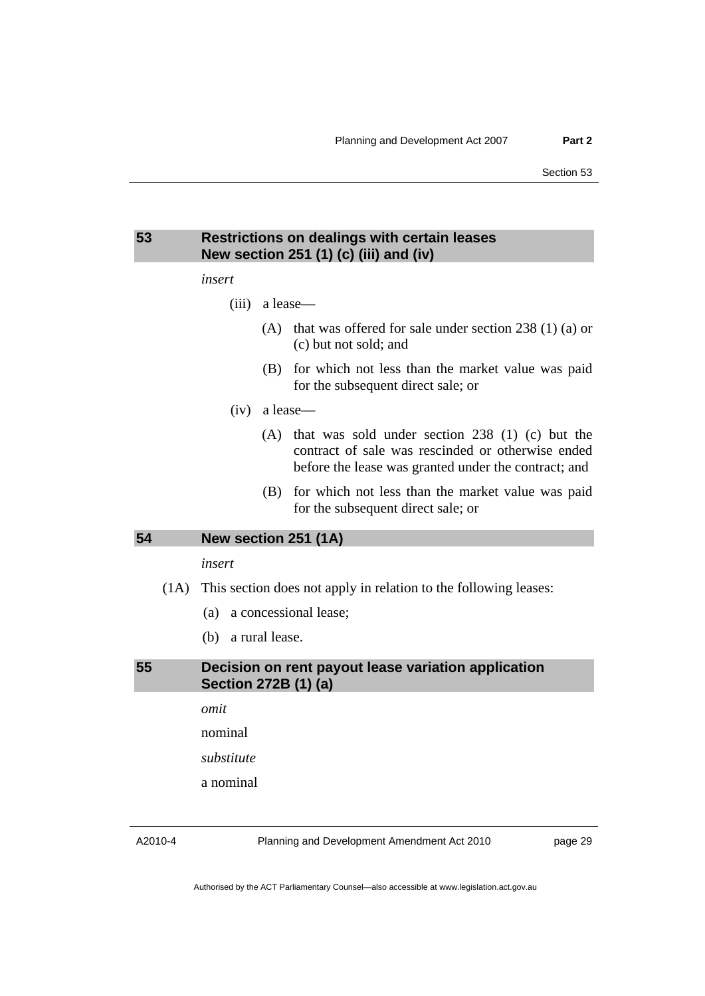## <span id="page-34-0"></span>**53 Restrictions on dealings with certain leases New section 251 (1) (c) (iii) and (iv)**

#### *insert*

- (iii) a lease—
	- (A) that was offered for sale under section 238 (1) (a) or (c) but not sold; and
	- (B) for which not less than the market value was paid for the subsequent direct sale; or
- (iv) a lease—
	- (A) that was sold under section 238 (1) (c) but the contract of sale was rescinded or otherwise ended before the lease was granted under the contract; and
	- (B) for which not less than the market value was paid for the subsequent direct sale; or

#### **54 New section 251 (1A)**

#### *insert*

- (1A) This section does not apply in relation to the following leases:
	- (a) a concessional lease;
	- (b) a rural lease.

## **55 Decision on rent payout lease variation application Section 272B (1) (a)**

*omit* 

nominal

*substitute* 

a nominal

A2010-4

Planning and Development Amendment Act 2010

page 29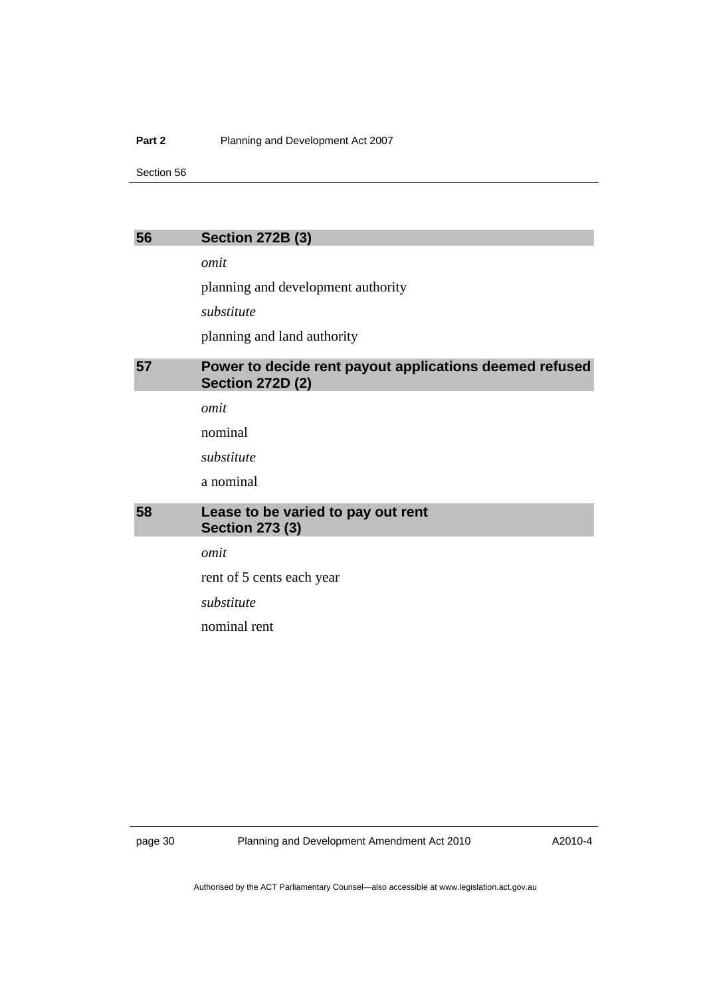#### <span id="page-35-0"></span>**Part 2** Planning and Development Act 2007

Section 56

## **56 Section 272B (3)**

*omit* 

planning and development authority

*substitute* 

planning and land authority

## **57 Power to decide rent payout applications deemed refused Section 272D (2)**

*omit* 

nominal

*substitute* 

a nominal

## **58 Lease to be varied to pay out rent Section 273 (3)**

*omit* 

rent of 5 cents each year

*substitute* 

nominal rent

page 30 Planning and Development Amendment Act 2010

A2010-4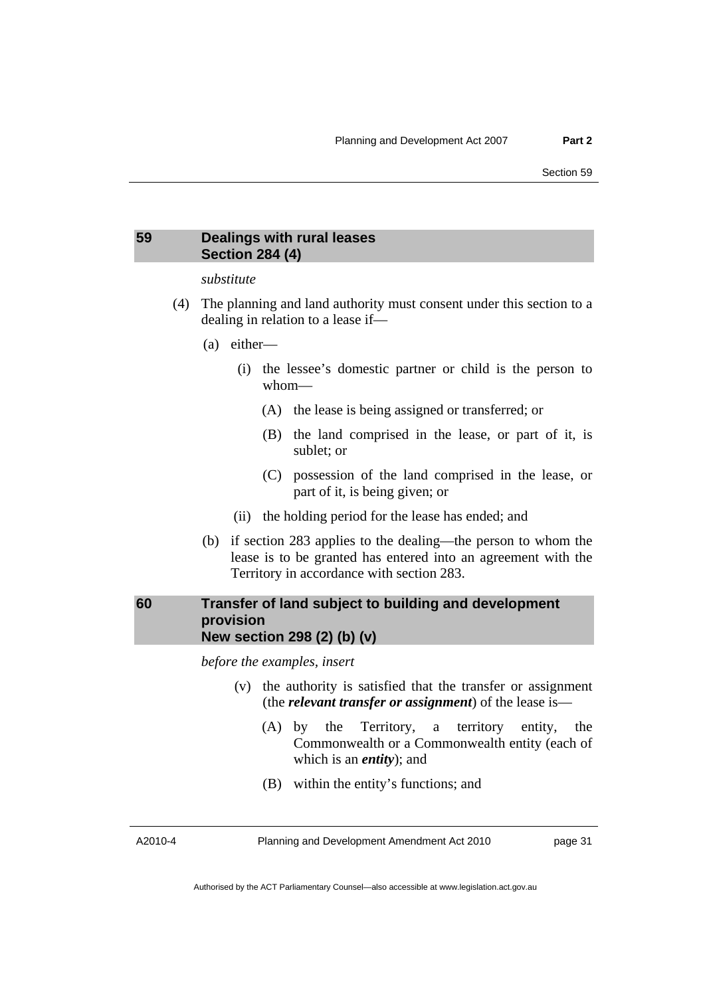## <span id="page-36-0"></span>**59 Dealings with rural leases Section 284 (4)**

## *substitute*

- (4) The planning and land authority must consent under this section to a dealing in relation to a lease if—
	- (a) either—
		- (i) the lessee's domestic partner or child is the person to whom—
			- (A) the lease is being assigned or transferred; or
			- (B) the land comprised in the lease, or part of it, is sublet; or
			- (C) possession of the land comprised in the lease, or part of it, is being given; or
		- (ii) the holding period for the lease has ended; and
	- (b) if section 283 applies to the dealing—the person to whom the lease is to be granted has entered into an agreement with the Territory in accordance with section 283.

## **60 Transfer of land subject to building and development provision New section 298 (2) (b) (v)**

*before the examples, insert* 

- (v) the authority is satisfied that the transfer or assignment (the *relevant transfer or assignment*) of the lease is—
	- (A) by the Territory, a territory entity, the Commonwealth or a Commonwealth entity (each of which is an *entity*); and
	- (B) within the entity's functions; and

A2010-4

Planning and Development Amendment Act 2010

page 31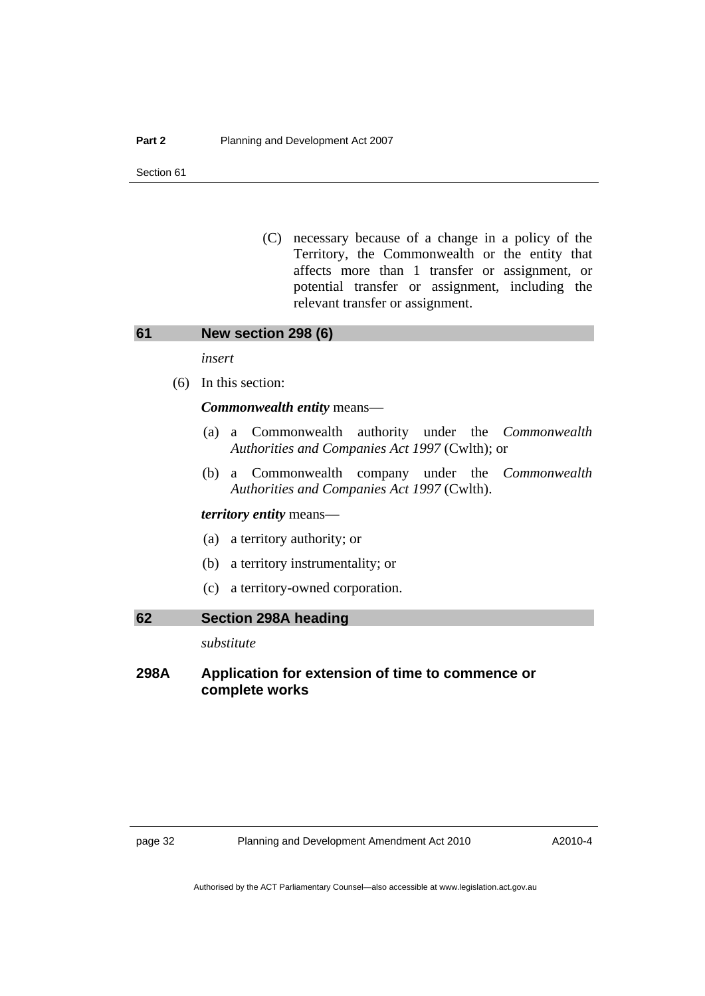<span id="page-37-0"></span> (C) necessary because of a change in a policy of the Territory, the Commonwealth or the entity that affects more than 1 transfer or assignment, or potential transfer or assignment, including the relevant transfer or assignment.

**61 New section 298 (6)** 

*insert* 

(6) In this section:

#### *Commonwealth entity* means—

- (a) a Commonwealth authority under the *Commonwealth Authorities and Companies Act 1997* (Cwlth); or
- (b) a Commonwealth company under the *Commonwealth Authorities and Companies Act 1997* (Cwlth).

#### *territory entity* means—

- (a) a territory authority; or
- (b) a territory instrumentality; or
- (c) a territory-owned corporation.

#### **62 Section 298A heading**

*substitute* 

## **298A Application for extension of time to commence or complete works**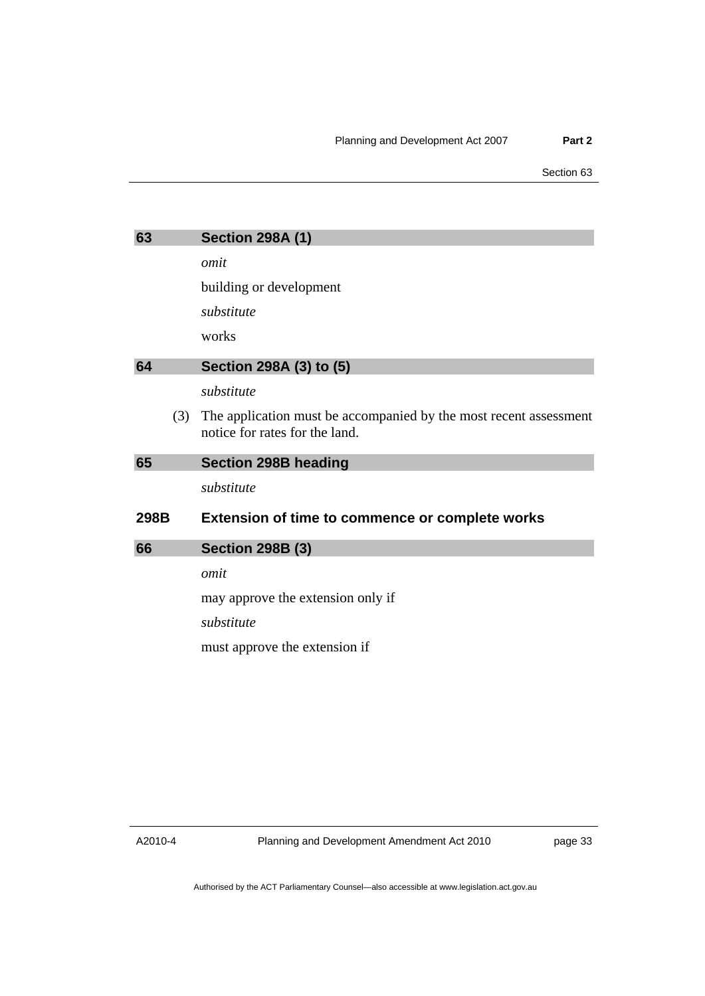<span id="page-38-0"></span>

| 63   | <b>Section 298A (1)</b>                                                                             |
|------|-----------------------------------------------------------------------------------------------------|
|      | omit                                                                                                |
|      | building or development                                                                             |
|      | substitute                                                                                          |
|      | works                                                                                               |
| 64   | Section 298A (3) to (5)                                                                             |
|      | substitute                                                                                          |
| (3)  | The application must be accompanied by the most recent assessment<br>notice for rates for the land. |
| 65   | <b>Section 298B heading</b>                                                                         |
|      | substitute                                                                                          |
| 298B | <b>Extension of time to commence or complete works</b>                                              |
| 66   | <b>Section 298B (3)</b>                                                                             |
|      | omit                                                                                                |
|      | may approve the extension only if                                                                   |
|      | substitute                                                                                          |
|      | must approve the extension if                                                                       |
|      |                                                                                                     |

A2010-4

Planning and Development Amendment Act 2010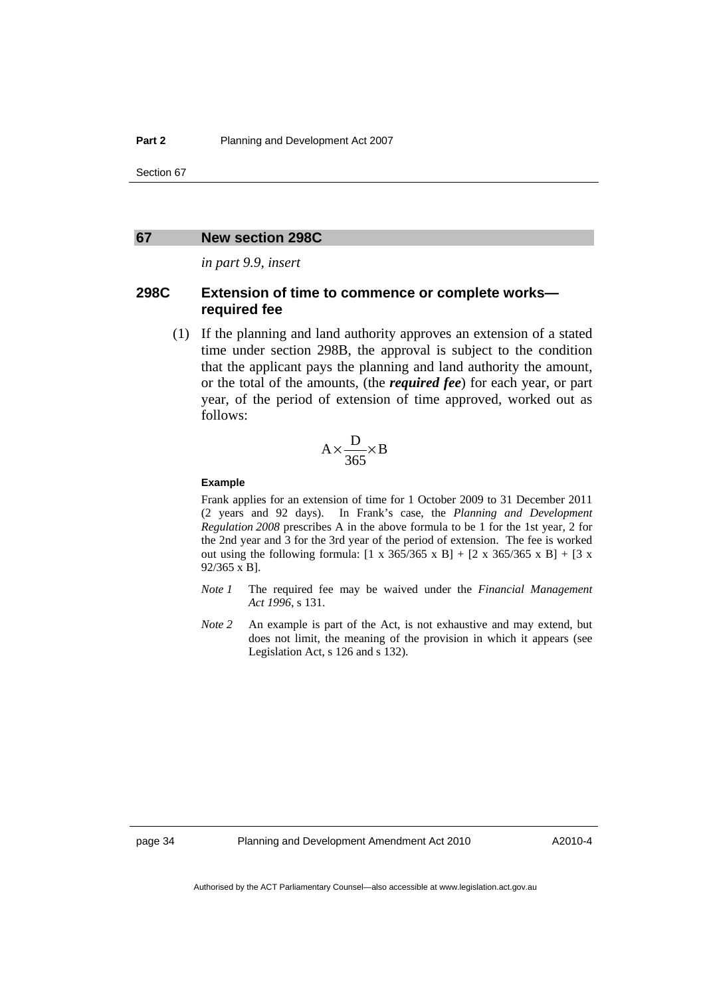#### <span id="page-39-0"></span>**67 New section 298C**

*in part 9.9, insert* 

## **298C Extension of time to commence or complete works required fee**

 (1) If the planning and land authority approves an extension of a stated time under section 298B, the approval is subject to the condition that the applicant pays the planning and land authority the amount, or the total of the amounts, (the *required fee*) for each year, or part year, of the period of extension of time approved, worked out as follows:

$$
A \times \frac{D}{365} \times B
$$

#### **Example**

Frank applies for an extension of time for 1 October 2009 to 31 December 2011 (2 years and 92 days). In Frank's case, the *Planning and Development Regulation 2008* prescribes A in the above formula to be 1 for the 1st year, 2 for the 2nd year and 3 for the 3rd year of the period of extension. The fee is worked out using the following formula:  $[1 \times 365/365 \times B] + [2 \times 365/365 \times B] + [3 \times$ 92/365 x B].

- *Note 1* The required fee may be waived under the *Financial Management Act 1996*, s 131.
- *Note 2* An example is part of the Act, is not exhaustive and may extend, but does not limit, the meaning of the provision in which it appears (see Legislation Act, s 126 and s 132).

page 34 Planning and Development Amendment Act 2010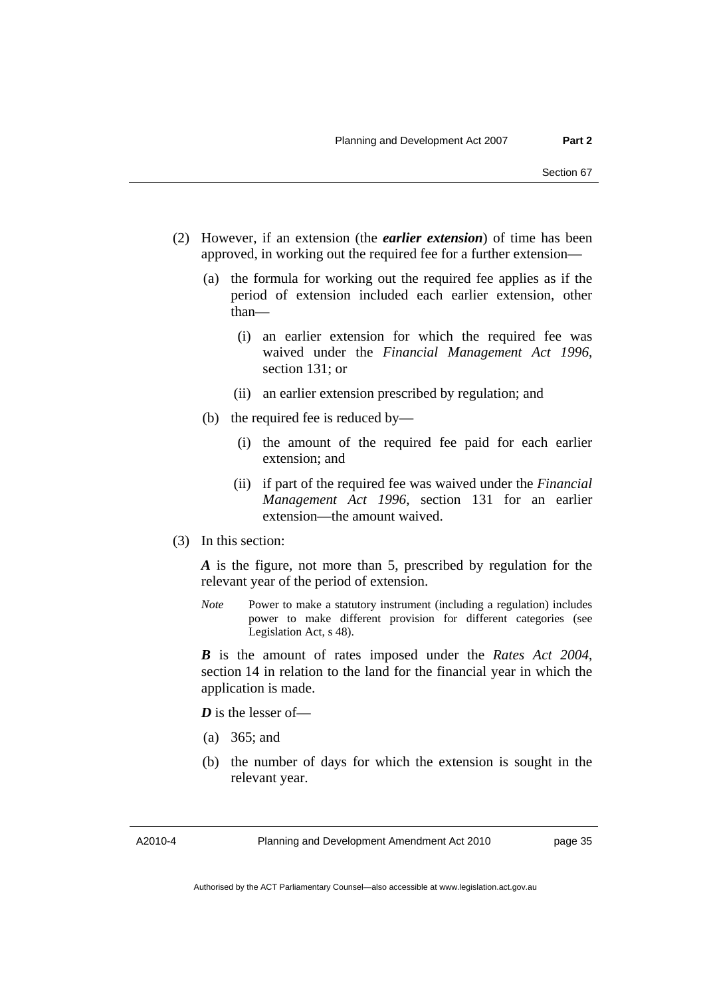- (2) However, if an extension (the *earlier extension*) of time has been approved, in working out the required fee for a further extension—
	- (a) the formula for working out the required fee applies as if the period of extension included each earlier extension, other than—
		- (i) an earlier extension for which the required fee was waived under the *Financial Management Act 1996*, section 131; or
		- (ii) an earlier extension prescribed by regulation; and
	- (b) the required fee is reduced by—
		- (i) the amount of the required fee paid for each earlier extension; and
		- (ii) if part of the required fee was waived under the *Financial Management Act 1996*, section 131 for an earlier extension—the amount waived.
- (3) In this section:

*A* is the figure, not more than 5, prescribed by regulation for the relevant year of the period of extension.

*Note* Power to make a statutory instrument (including a regulation) includes power to make different provision for different categories (see Legislation Act, s 48).

*B* is the amount of rates imposed under the *Rates Act 2004*, section 14 in relation to the land for the financial year in which the application is made.

*D* is the lesser of-

- (a) 365; and
- (b) the number of days for which the extension is sought in the relevant year.

A2010-4

Planning and Development Amendment Act 2010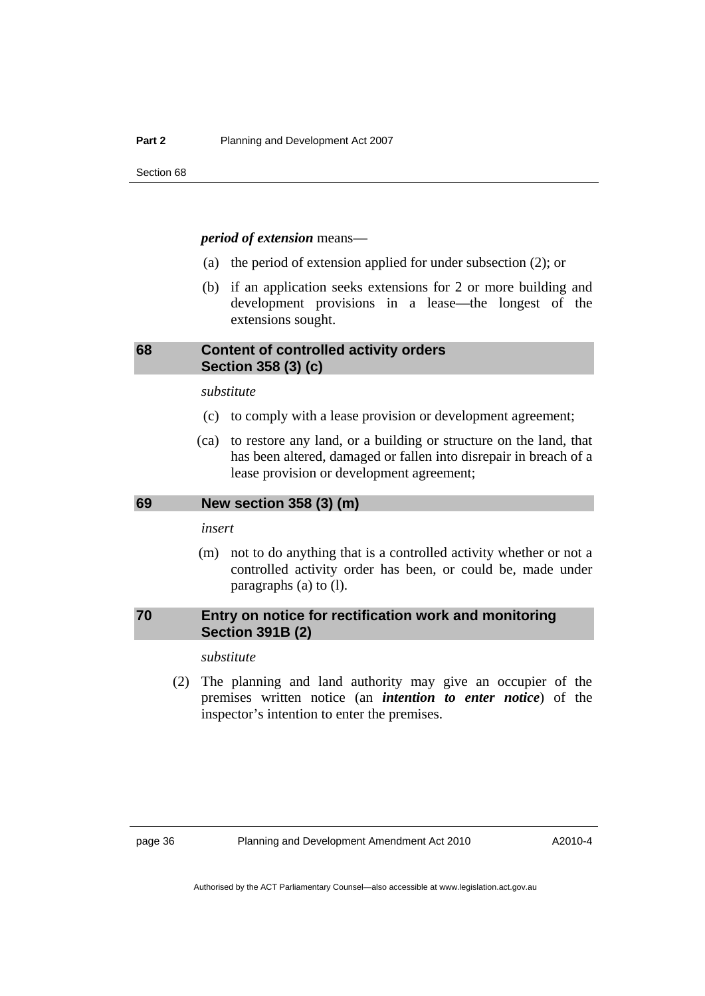#### <span id="page-41-0"></span>*period of extension* means—

- (a) the period of extension applied for under subsection (2); or
- (b) if an application seeks extensions for 2 or more building and development provisions in a lease—the longest of the extensions sought.

## **68 Content of controlled activity orders Section 358 (3) (c)**

*substitute* 

- (c) to comply with a lease provision or development agreement;
- (ca) to restore any land, or a building or structure on the land, that has been altered, damaged or fallen into disrepair in breach of a lease provision or development agreement;

#### **69 New section 358 (3) (m)**

*insert* 

 (m) not to do anything that is a controlled activity whether or not a controlled activity order has been, or could be, made under paragraphs (a) to (l).

## **70 Entry on notice for rectification work and monitoring Section 391B (2)**

#### *substitute*

 (2) The planning and land authority may give an occupier of the premises written notice (an *intention to enter notice*) of the inspector's intention to enter the premises.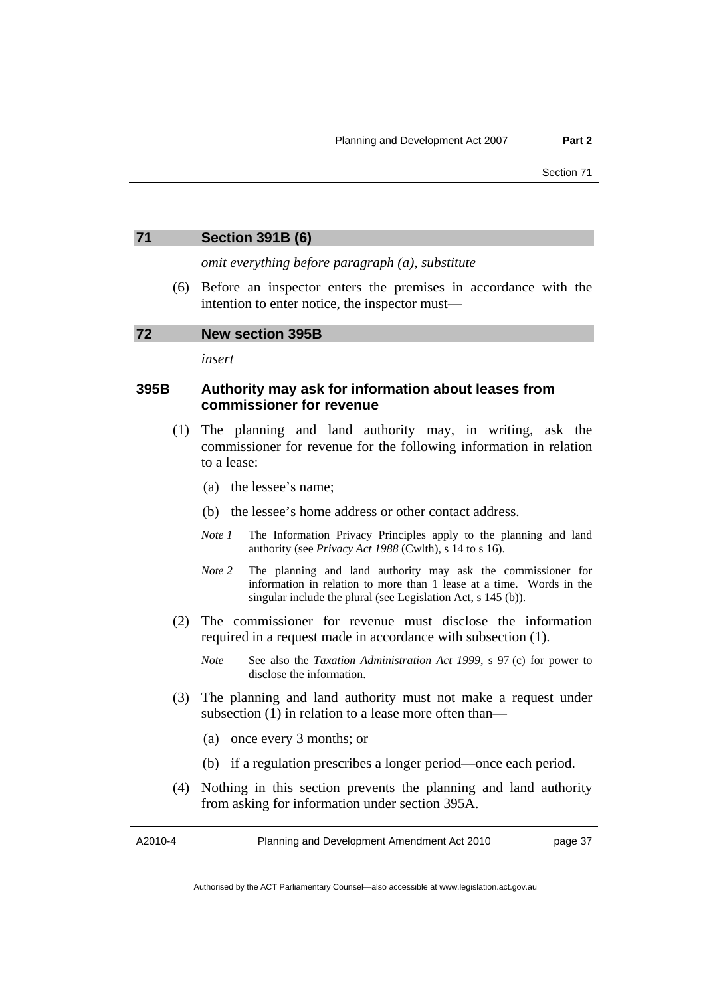<span id="page-42-0"></span>

| 71 | <b>Section 391B (6)</b> |  |
|----|-------------------------|--|
|    |                         |  |

*omit everything before paragraph (a), substitute* 

 (6) Before an inspector enters the premises in accordance with the intention to enter notice, the inspector must—

#### **72 New section 395B**

*insert* 

## **395B Authority may ask for information about leases from commissioner for revenue**

- (1) The planning and land authority may, in writing, ask the commissioner for revenue for the following information in relation to a lease:
	- (a) the lessee's name;
	- (b) the lessee's home address or other contact address.
	- *Note 1* The Information Privacy Principles apply to the planning and land authority (see *Privacy Act 1988* (Cwlth), s 14 to s 16).
	- *Note 2* The planning and land authority may ask the commissioner for information in relation to more than 1 lease at a time. Words in the singular include the plural (see Legislation Act, s 145 (b)).
- (2) The commissioner for revenue must disclose the information required in a request made in accordance with subsection (1).
	- *Note* See also the *Taxation Administration Act 1999*, s 97 (c) for power to disclose the information.
- (3) The planning and land authority must not make a request under subsection (1) in relation to a lease more often than—
	- (a) once every 3 months; or
	- (b) if a regulation prescribes a longer period—once each period.
- (4) Nothing in this section prevents the planning and land authority from asking for information under section 395A.

A2010-4

Planning and Development Amendment Act 2010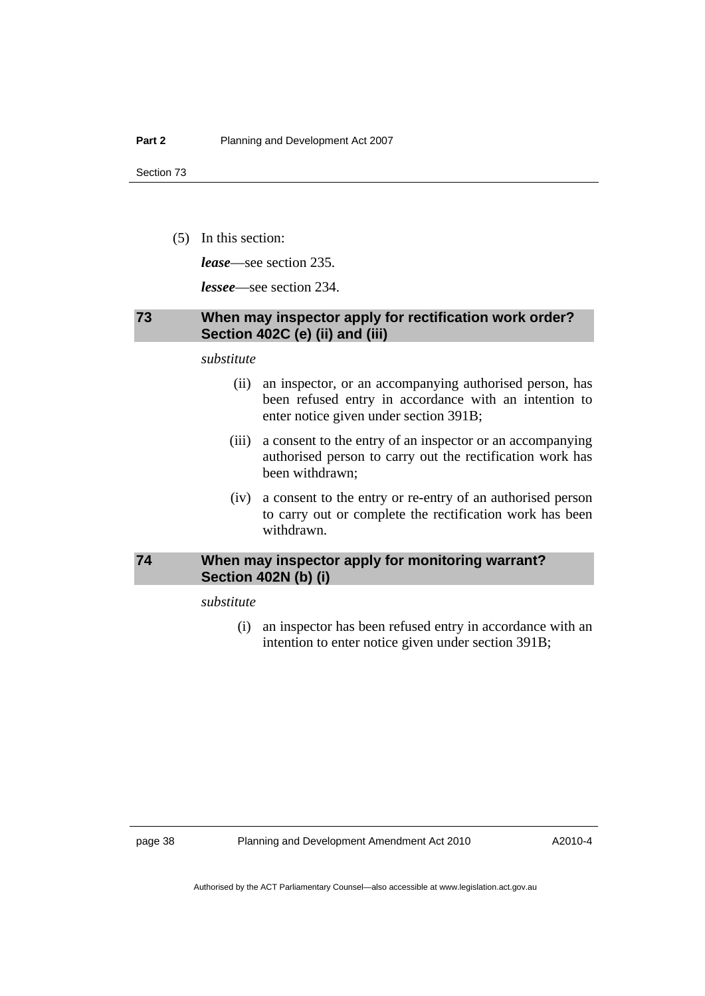<span id="page-43-0"></span>(5) In this section:

*lease*—see section 235.

*lessee*—see section 234.

## **73 When may inspector apply for rectification work order? Section 402C (e) (ii) and (iii)**

*substitute* 

- (ii) an inspector, or an accompanying authorised person, has been refused entry in accordance with an intention to enter notice given under section 391B;
- (iii) a consent to the entry of an inspector or an accompanying authorised person to carry out the rectification work has been withdrawn;
- (iv) a consent to the entry or re-entry of an authorised person to carry out or complete the rectification work has been withdrawn.

## **74 When may inspector apply for monitoring warrant? Section 402N (b) (i)**

*substitute* 

 (i) an inspector has been refused entry in accordance with an intention to enter notice given under section 391B;

page 38 Planning and Development Amendment Act 2010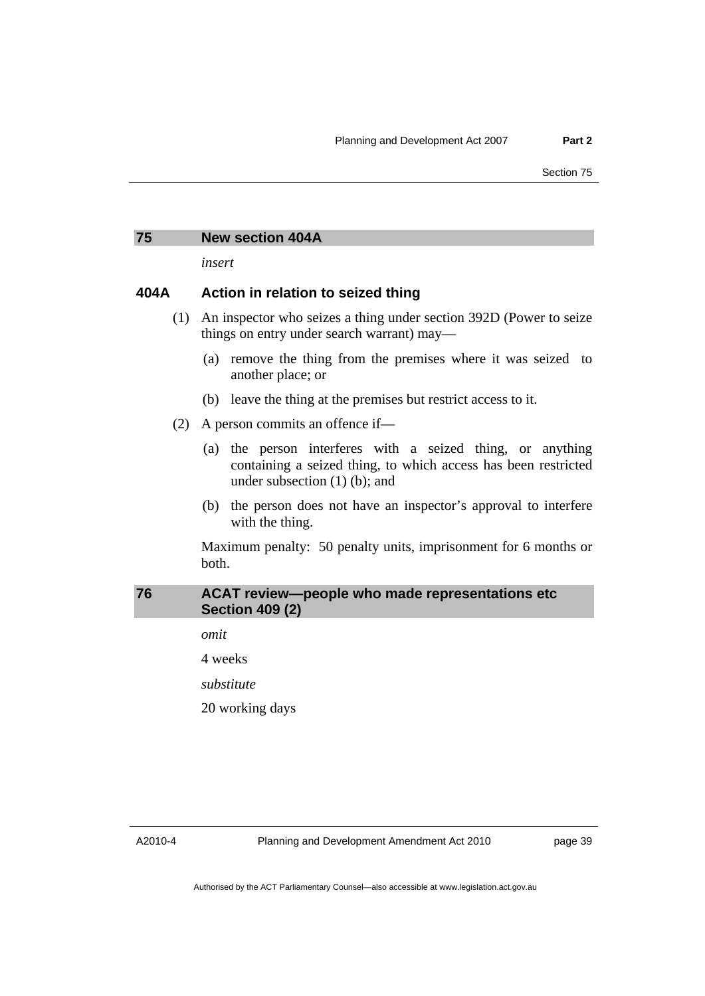#### <span id="page-44-0"></span>**75 New section 404A**

*insert* 

## **404A Action in relation to seized thing**

- (1) An inspector who seizes a thing under section 392D (Power to seize things on entry under search warrant) may—
	- (a) remove the thing from the premises where it was seized to another place; or
	- (b) leave the thing at the premises but restrict access to it.
- (2) A person commits an offence if—
	- (a) the person interferes with a seized thing, or anything containing a seized thing, to which access has been restricted under subsection (1) (b); and
	- (b) the person does not have an inspector's approval to interfere with the thing.

Maximum penalty: 50 penalty units, imprisonment for 6 months or both.

## **76 ACAT review—people who made representations etc Section 409 (2)**

*omit* 

4 weeks

*substitute* 

20 working days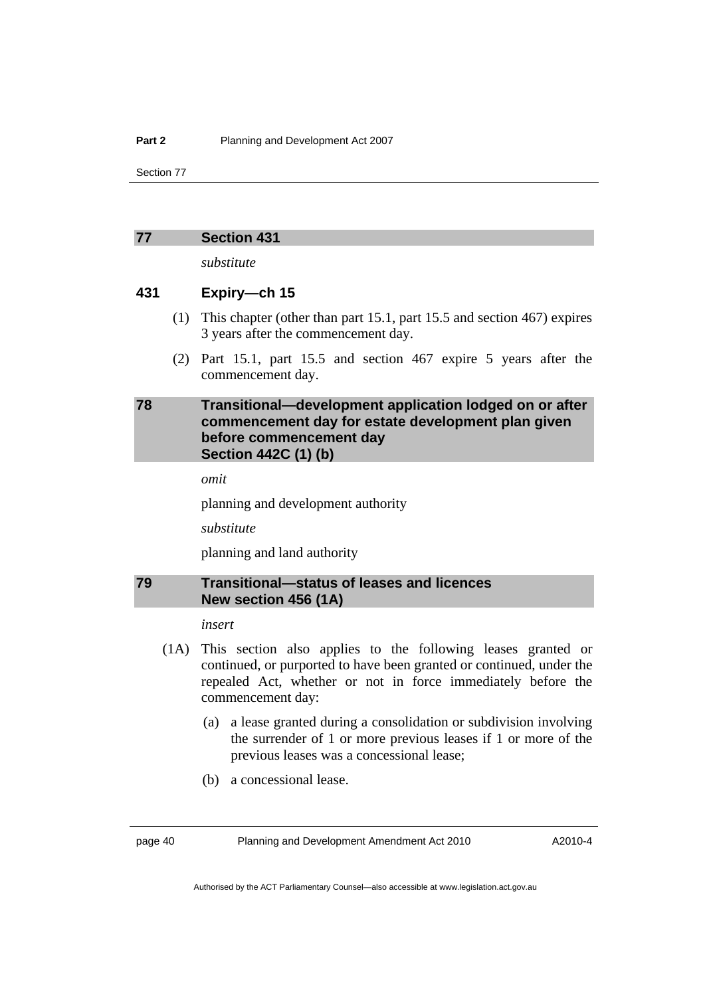#### <span id="page-45-0"></span>**77 Section 431**

*substitute* 

### **431 Expiry—ch 15**

- (1) This chapter (other than part 15.1, part 15.5 and section 467) expires 3 years after the commencement day.
- (2) Part 15.1, part 15.5 and section 467 expire 5 years after the commencement day.

## **78 Transitional—development application lodged on or after commencement day for estate development plan given before commencement day Section 442C (1) (b)**

*omit* 

planning and development authority

*substitute* 

planning and land authority

## **79 Transitional—status of leases and licences New section 456 (1A)**

*insert* 

- (1A) This section also applies to the following leases granted or continued, or purported to have been granted or continued, under the repealed Act, whether or not in force immediately before the commencement day:
	- (a) a lease granted during a consolidation or subdivision involving the surrender of 1 or more previous leases if 1 or more of the previous leases was a concessional lease;
	- (b) a concessional lease.

page 40 Planning and Development Amendment Act 2010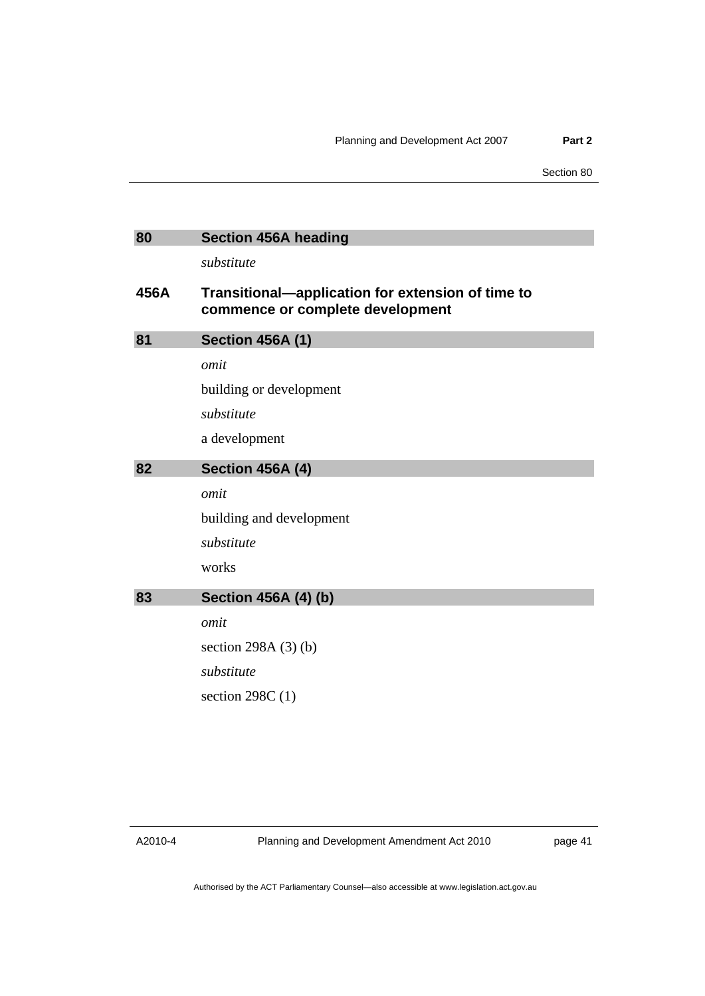<span id="page-46-0"></span>

| 80   | <b>Section 456A heading</b>                                                           |
|------|---------------------------------------------------------------------------------------|
|      | substitute                                                                            |
| 456A | Transitional-application for extension of time to<br>commence or complete development |
| 81   | <b>Section 456A (1)</b>                                                               |
|      | omit                                                                                  |
|      | building or development                                                               |
|      | substitute                                                                            |
|      | a development                                                                         |
| 82   | <b>Section 456A (4)</b>                                                               |
|      | omit                                                                                  |
|      | building and development                                                              |
|      | substitute                                                                            |
|      | works                                                                                 |
| 83   | <b>Section 456A (4) (b)</b>                                                           |
|      | omit                                                                                  |
|      | section 298A $(3)$ $(b)$                                                              |
|      | substitute                                                                            |
|      | section $298C(1)$                                                                     |

A2010-4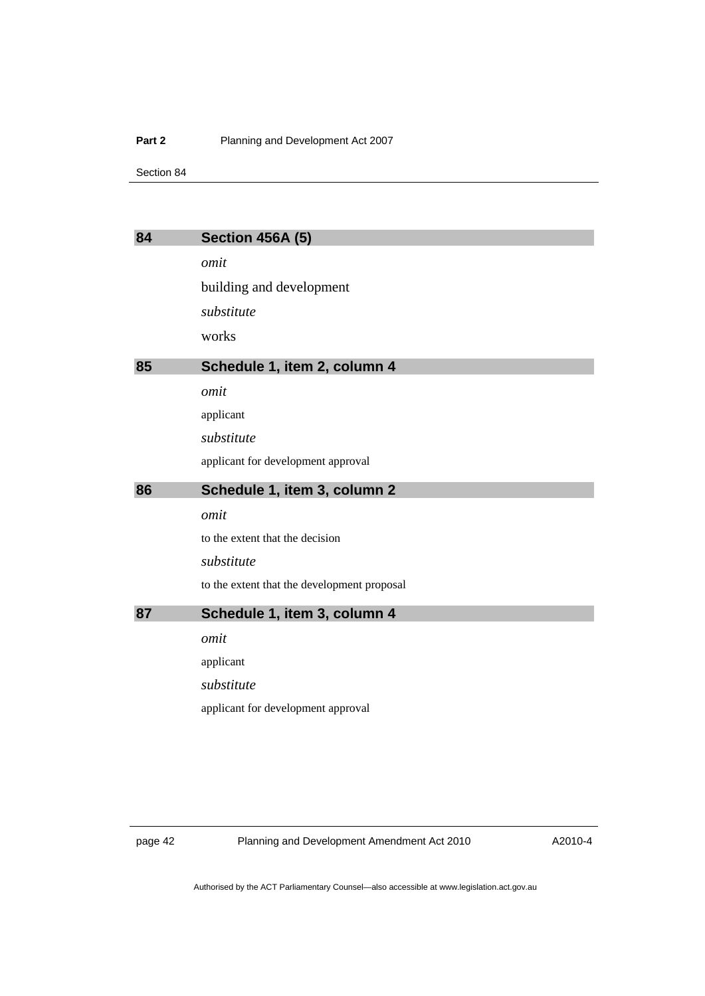#### <span id="page-47-0"></span>**Part 2** Planning and Development Act 2007

Section 84

| 84 | <b>Section 456A (5)</b>                     |
|----|---------------------------------------------|
|    | omit                                        |
|    | building and development                    |
|    | substitute                                  |
|    | works                                       |
| 85 | Schedule 1, item 2, column 4                |
|    | omit                                        |
|    | applicant                                   |
|    | substitute                                  |
|    | applicant for development approval          |
| 86 | Schedule 1, item 3, column 2                |
|    | omit                                        |
|    | to the extent that the decision             |
|    | substitute                                  |
|    | to the extent that the development proposal |
| 87 | Schedule 1, item 3, column 4                |
|    | omit                                        |
|    | applicant                                   |
|    | substitute                                  |
|    | applicant for development approval          |

page 42 Planning and Development Amendment Act 2010

A2010-4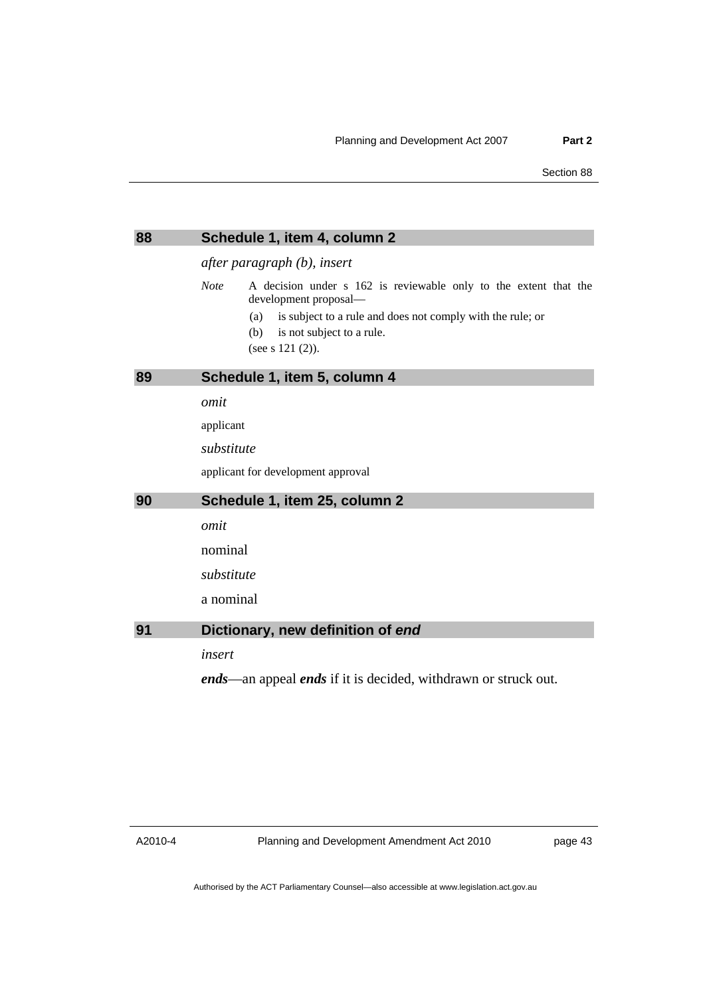<span id="page-48-0"></span>

| 88 | Schedule 1, item 4, column 2                                                                                                                                                                                                             |
|----|------------------------------------------------------------------------------------------------------------------------------------------------------------------------------------------------------------------------------------------|
|    | after paragraph (b), insert                                                                                                                                                                                                              |
|    | <b>Note</b><br>A decision under s 162 is reviewable only to the extent that the<br>development proposal-<br>is subject to a rule and does not comply with the rule; or<br>(a)<br>is not subject to a rule.<br>(b)<br>(see s $121 (2)$ ). |
| 89 | Schedule 1, item 5, column 4                                                                                                                                                                                                             |
|    | omit                                                                                                                                                                                                                                     |
|    | applicant                                                                                                                                                                                                                                |
|    | substitute                                                                                                                                                                                                                               |
|    | applicant for development approval                                                                                                                                                                                                       |
| 90 | Schedule 1, item 25, column 2                                                                                                                                                                                                            |
|    | omit                                                                                                                                                                                                                                     |
|    | nominal                                                                                                                                                                                                                                  |
|    | substitute                                                                                                                                                                                                                               |
|    | a nominal                                                                                                                                                                                                                                |
| 91 | Dictionary, new definition of end                                                                                                                                                                                                        |
|    | insert                                                                                                                                                                                                                                   |
|    | <i>ends</i> —an appeal <i>ends</i> if it is decided, withdrawn or struck out.                                                                                                                                                            |

A2010-4

Planning and Development Amendment Act 2010

page 43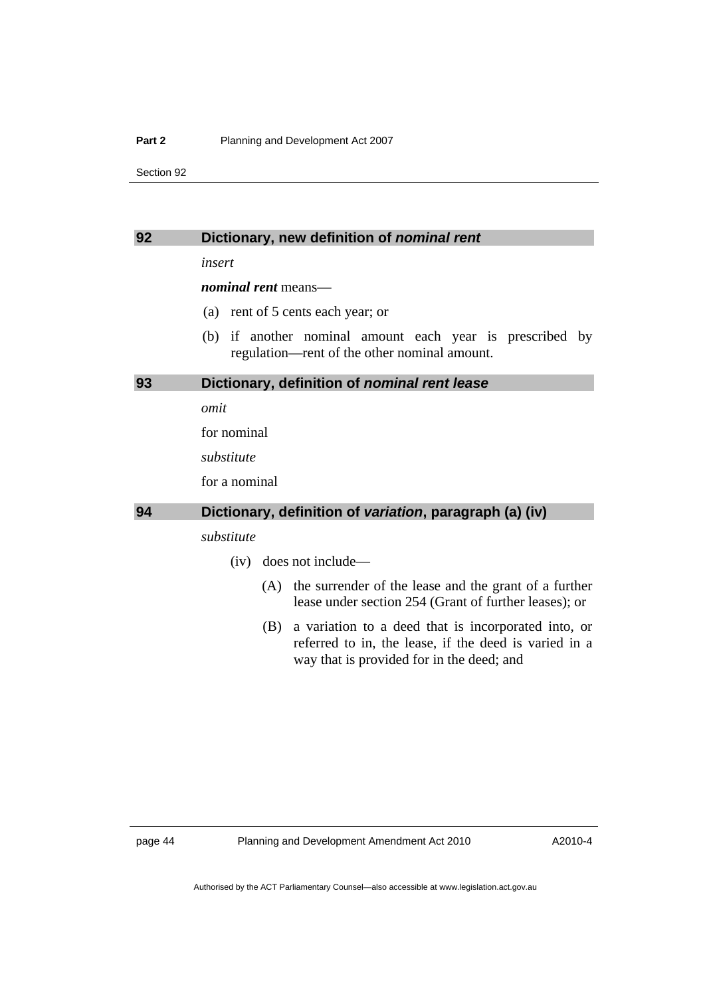#### <span id="page-49-0"></span>**Part 2** Planning and Development Act 2007

Section 92

#### **92 Dictionary, new definition of** *nominal rent*

*insert* 

*nominal rent* means—

- (a) rent of 5 cents each year; or
- (b) if another nominal amount each year is prescribed by regulation—rent of the other nominal amount.

#### **93 Dictionary, definition of** *nominal rent lease*

*omit* 

for nominal

*substitute* 

for a nominal

#### **94 Dictionary, definition of** *variation***, paragraph (a) (iv)**

## *substitute*

- (iv) does not include—
	- (A) the surrender of the lease and the grant of a further lease under section 254 (Grant of further leases); or
	- (B) a variation to a deed that is incorporated into, or referred to in, the lease, if the deed is varied in a way that is provided for in the deed; and

page 44 Planning and Development Amendment Act 2010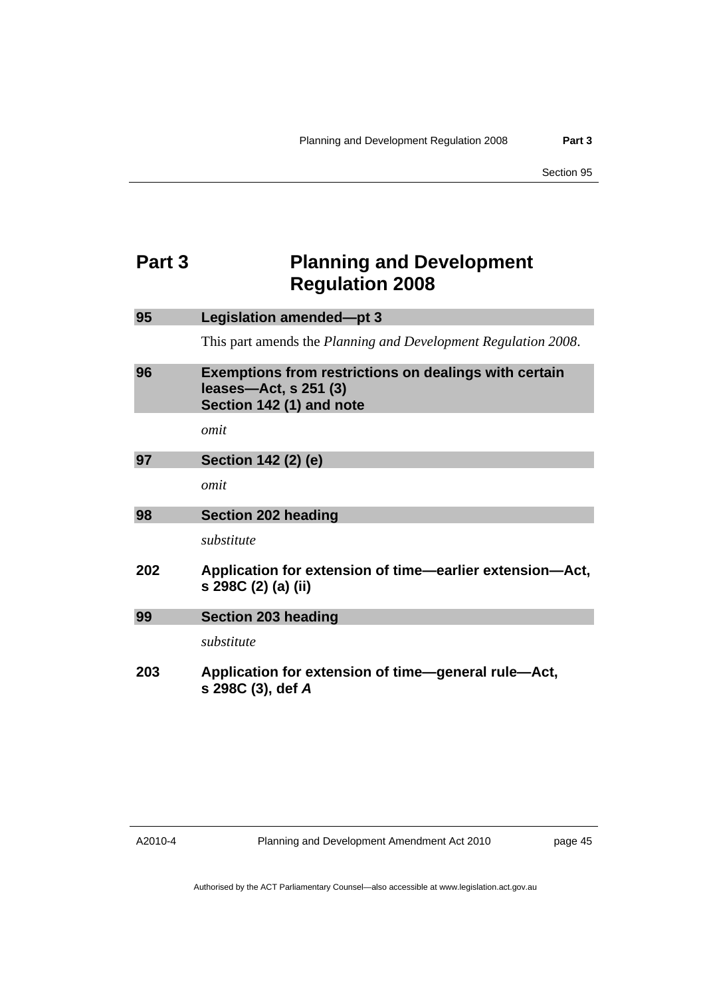## <span id="page-50-0"></span>**Part 3** Planning and Development **Regulation 2008**

| 95  | Legislation amended-pt 3                                                                                          |
|-----|-------------------------------------------------------------------------------------------------------------------|
|     | This part amends the <i>Planning and Development Regulation 2008</i> .                                            |
| 96  | <b>Exemptions from restrictions on dealings with certain</b><br>leases-Act, s 251 (3)<br>Section 142 (1) and note |
|     | omit                                                                                                              |
| 97  | Section 142 (2) (e)                                                                                               |
|     | omit                                                                                                              |
| 98  | <b>Section 202 heading</b>                                                                                        |
|     | substitute                                                                                                        |
| 202 | Application for extension of time—earlier extension—Act,<br>s 298C (2) (a) (ii)                                   |
| 99  | <b>Section 203 heading</b>                                                                                        |
|     | substitute                                                                                                        |
| 203 | Application for extension of time-general rule-Act,<br>s 298C (3), def A                                          |

A2010-4

Planning and Development Amendment Act 2010

page 45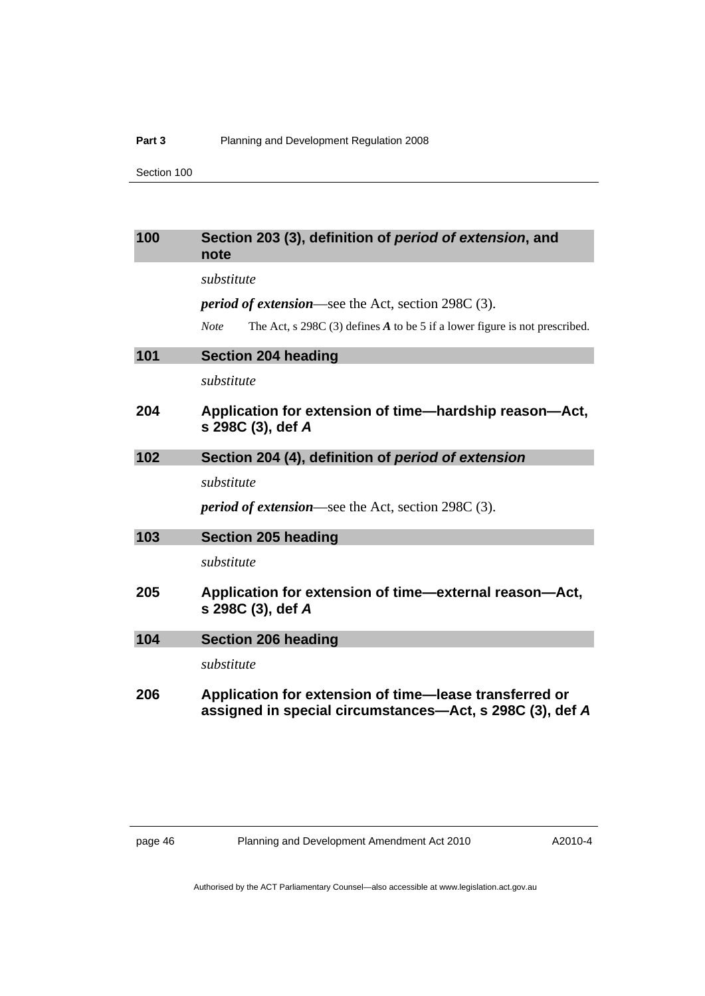<span id="page-51-0"></span>

| 100 | Section 203 (3), definition of period of extension, and<br>note                                                    |
|-----|--------------------------------------------------------------------------------------------------------------------|
|     | substitute                                                                                                         |
|     | <i>period of extension</i> —see the Act, section 298C (3).                                                         |
|     | The Act, s $298C(3)$ defines A to be 5 if a lower figure is not prescribed.<br><b>Note</b>                         |
| 101 | <b>Section 204 heading</b>                                                                                         |
|     | substitute                                                                                                         |
| 204 | Application for extension of time—hardship reason—Act,<br>s 298C (3), def A                                        |
| 102 | Section 204 (4), definition of period of extension                                                                 |
|     | substitute                                                                                                         |
|     | <i>period of extension</i> —see the Act, section 298C (3).                                                         |
| 103 | <b>Section 205 heading</b>                                                                                         |
|     | substitute                                                                                                         |
| 205 | Application for extension of time-external reason-Act,<br>s 298C (3), def A                                        |
| 104 | <b>Section 206 heading</b>                                                                                         |
|     | substitute                                                                                                         |
| 206 | Application for extension of time-lease transferred or<br>assigned in special circumstances—Act, s 298C (3), def A |

page 46 Planning and Development Amendment Act 2010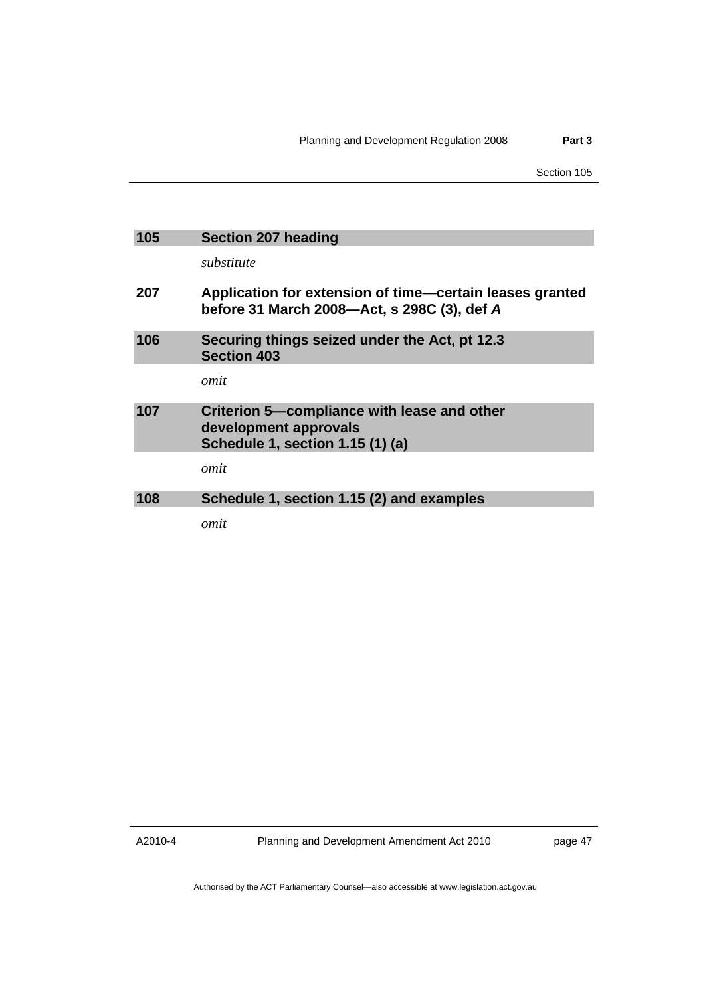<span id="page-52-0"></span>

| 105 | <b>Section 207 heading</b>                                                                               |
|-----|----------------------------------------------------------------------------------------------------------|
|     | substitute                                                                                               |
| 207 | Application for extension of time—certain leases granted<br>before 31 March 2008-Act, s 298C (3), def A  |
| 106 | Securing things seized under the Act, pt 12.3<br><b>Section 403</b>                                      |
|     | omit                                                                                                     |
| 107 | Criterion 5-compliance with lease and other<br>development approvals<br>Schedule 1, section 1.15 (1) (a) |
|     | omit                                                                                                     |
| 108 | Schedule 1, section 1.15 (2) and examples                                                                |
|     | omit                                                                                                     |

A2010-4

Planning and Development Amendment Act 2010

page 47